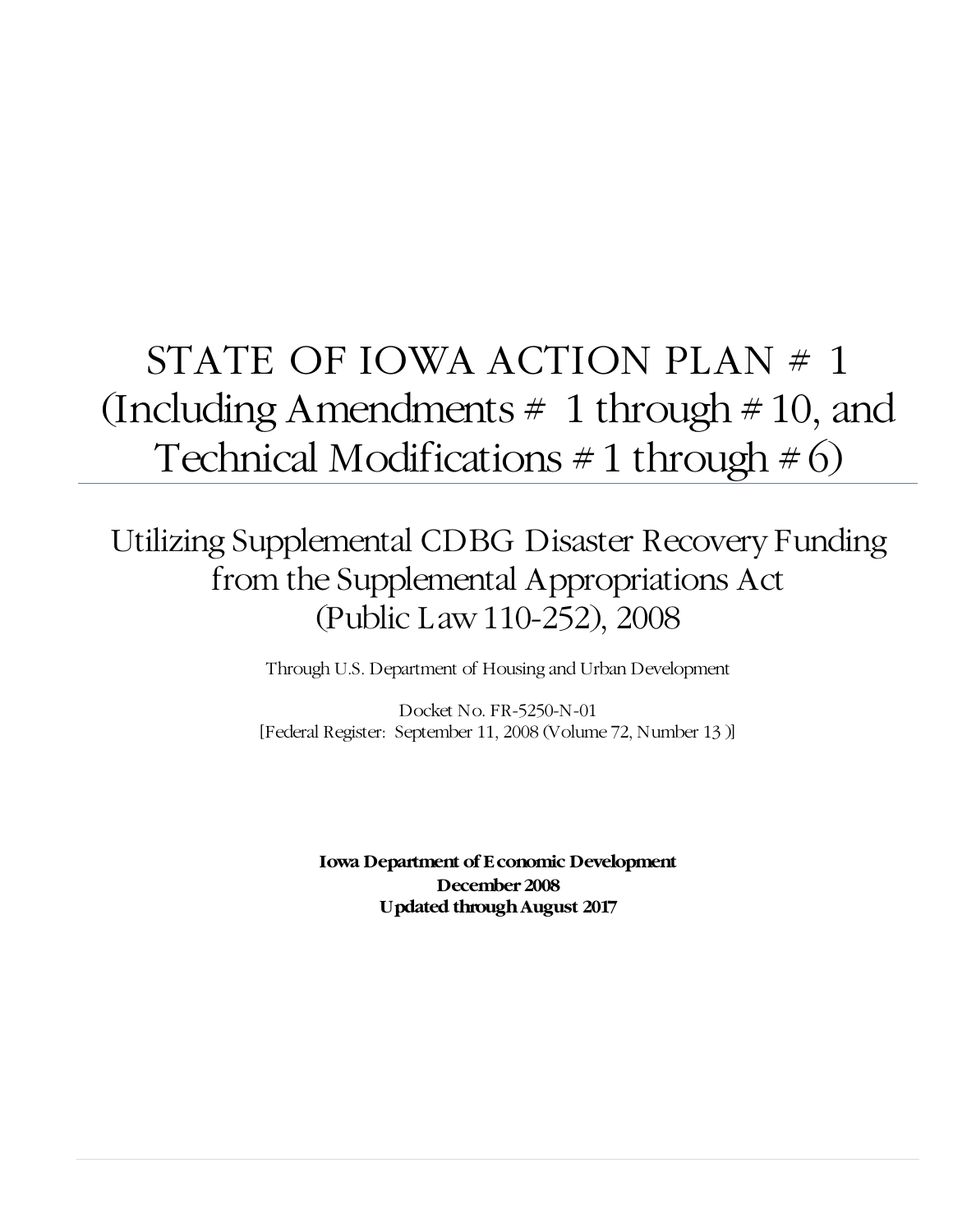# STATE OF IOWA ACTION PLAN # 1 (Including Amendments  $\#$  1 through  $\#$  10, and Technical Modifications  $\# 1$  through  $\# 6$ )

# Utilizing Supplemental CDBG Disaster Recovery Funding from the Supplemental Appropriations Act (Public Law 110-252), 2008

Through U.S. Department of Housing and Urban Development

Docket No. FR-5250-N-01 [Federal Register: September 11, 2008 (Volume 72, Number 13 )]

> **Iowa Department of Economic Development December 2008 Updated through August 2017**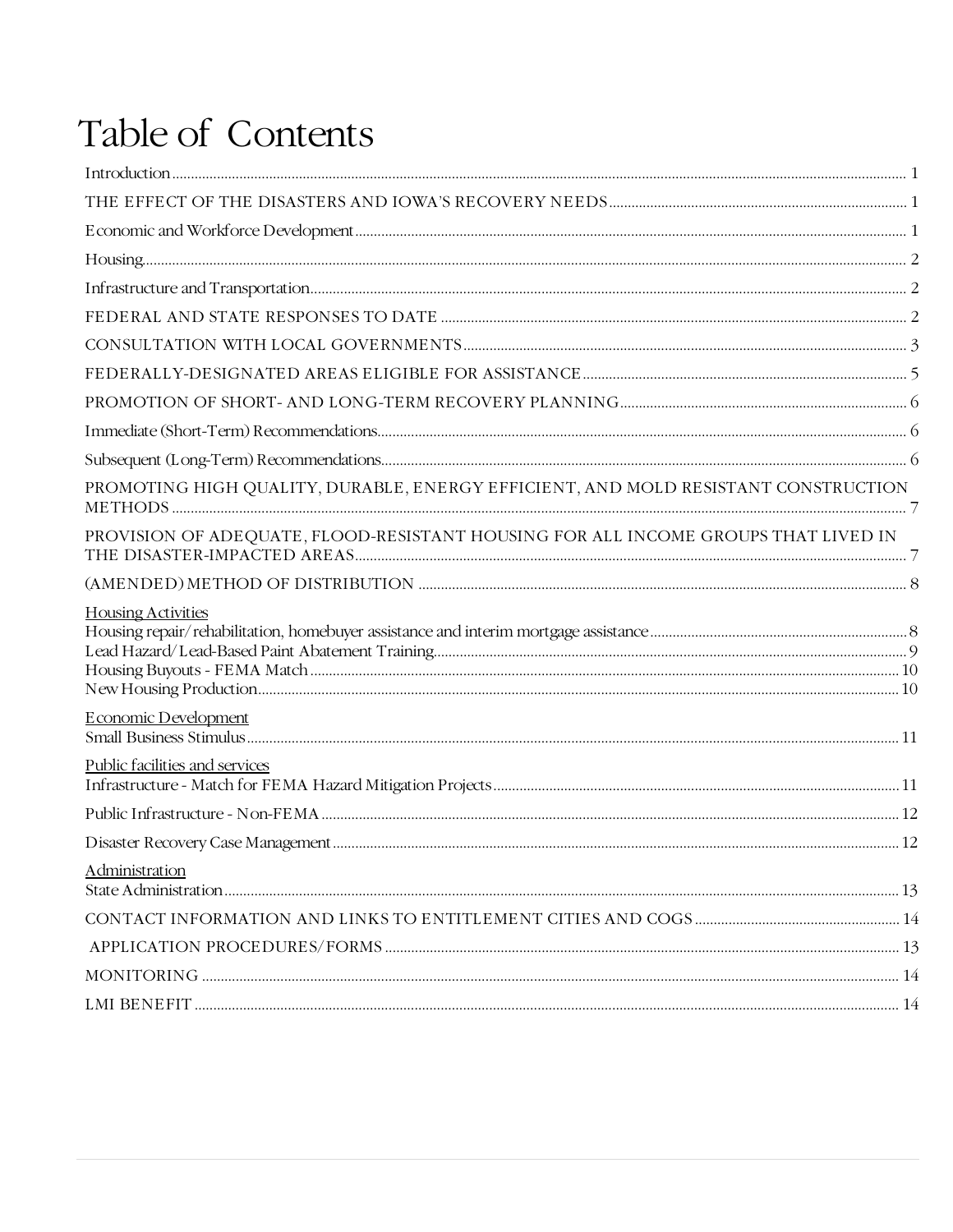# Table of Contents

| PROMOTING HIGH QUALITY, DURABLE, ENERGY EFFICIENT, AND MOLD RESISTANT CONSTRUCTION |  |
|------------------------------------------------------------------------------------|--|
| PROVISION OF ADEQUATE, FLOOD-RESISTANT HOUSING FOR ALL INCOME GROUPS THAT LIVED IN |  |
|                                                                                    |  |
| <b>Housing Activities</b>                                                          |  |
| <b>Economic Development</b>                                                        |  |
| Public facilities and services                                                     |  |
|                                                                                    |  |
|                                                                                    |  |
| Administration                                                                     |  |
|                                                                                    |  |
|                                                                                    |  |
|                                                                                    |  |
|                                                                                    |  |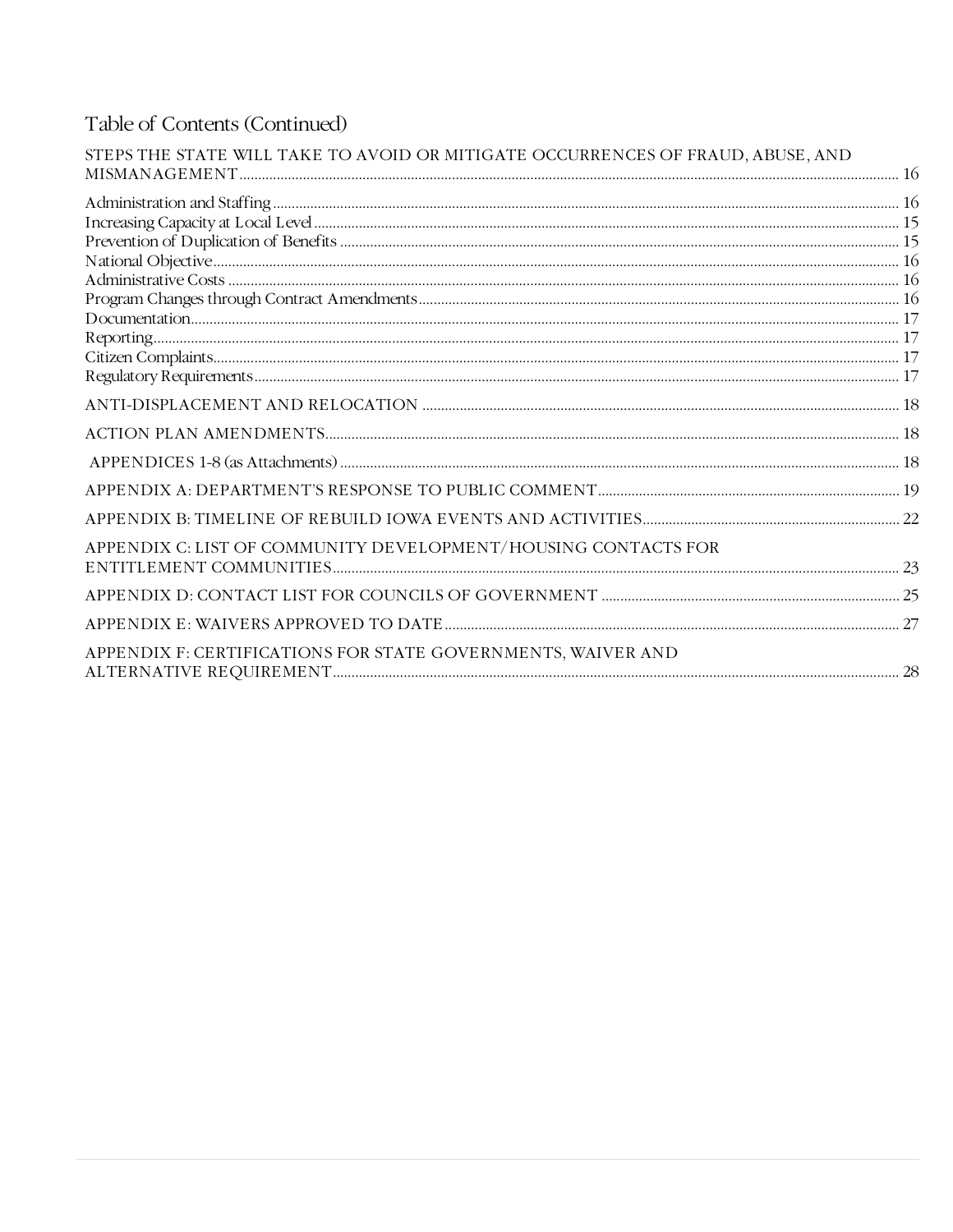# Table of Contents (Continued)

| STEPS THE STATE WILL TAKE TO AVOID OR MITIGATE OCCURRENCES OF FRAUD, ABUSE, AND |  |
|---------------------------------------------------------------------------------|--|
|                                                                                 |  |
|                                                                                 |  |
|                                                                                 |  |
|                                                                                 |  |
|                                                                                 |  |
|                                                                                 |  |
|                                                                                 |  |
|                                                                                 |  |
|                                                                                 |  |
|                                                                                 |  |
|                                                                                 |  |
|                                                                                 |  |
|                                                                                 |  |
|                                                                                 |  |
|                                                                                 |  |
| APPENDIX C: LIST OF COMMUNITY DEVELOPMENT/HOUSING CONTACTS FOR                  |  |
|                                                                                 |  |
|                                                                                 |  |
|                                                                                 |  |
|                                                                                 |  |
| APPENDIX F: CERTIFICATIONS FOR STATE GOVERNMENTS, WAIVER AND                    |  |
|                                                                                 |  |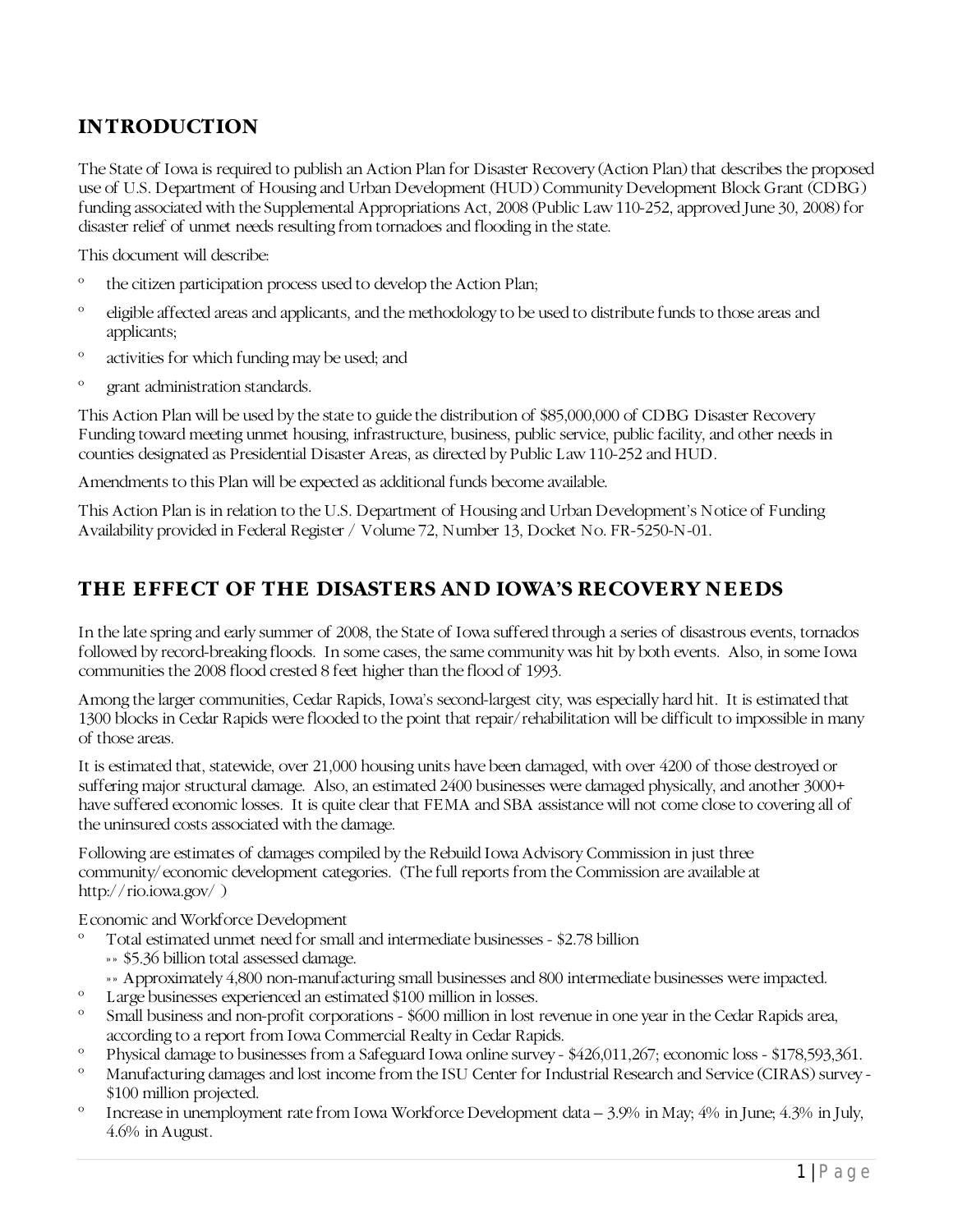# <span id="page-3-0"></span>**INTRODUCTION**

The State of Iowa is required to publish an Action Plan for Disaster Recovery (Action Plan) that describes the proposed use of U.S. Department of Housing and Urban Development (HUD) Community Development Block Grant (CDBG) funding associated with the Supplemental Appropriations Act, 2008 (Public Law 110-252, approved June 30, 2008) for disaster relief of unmet needs resulting from tornadoes and flooding in the state.

This document will describe:

- º the citizen participation process used to develop the Action Plan;
- º eligible affected areas and applicants, and the methodology to be used to distribute funds to those areas and applicants;
- º activities for which funding may be used; and
- º grant administration standards.

This Action Plan will be used by the state to guide the distribution of \$85,000,000 of CDBG Disaster Recovery Funding toward meeting unmet housing, infrastructure, business, public service, public facility, and other needs in counties designated as Presidential Disaster Areas, as directed by Public Law 110-252 and HUD.

Amendments to this Plan will be expected as additional funds become available.

This Action Plan is in relation to the U.S. Department of Housing and Urban Development's Notice of Funding Availability provided in Federal Register / Volume 72, Number 13, Docket No. FR-5250-N-01.

## <span id="page-3-1"></span>**THE EFFECT OF THE DISASTERS AND IOWA'S RECOVERY NEEDS**

In the late spring and early summer of 2008, the State of Iowa suffered through a series of disastrous events, tornados followed by record-breaking floods. In some cases, the same community was hit by both events. Also, in some Iowa communities the 2008 flood crested 8 feet higher than the flood of 1993.

Among the larger communities, Cedar Rapids, Iowa's second-largest city, was especially hard hit. It is estimated that 1300 blocks in Cedar Rapids were flooded to the point that repair/rehabilitation will be difficult to impossible in many of those areas.

It is estimated that, statewide, over 21,000 housing units have been damaged, with over 4200 of those destroyed or suffering major structural damage. Also, an estimated 2400 businesses were damaged physically, and another 3000+ have suffered economic losses. It is quite clear that FEMA and SBA assistance will not come close to covering all of the uninsured costs associated with the damage.

Following are estimates of damages compiled by the Rebuild Iowa Advisory Commission in just three community/economic development categories. (The full reports from the Commission are available at <http://rio.iowa.gov/> )

<span id="page-3-2"></span>Economic and Workforce Development

- Total estimated unmet need for small and intermediate businesses \$2.78 billion
	- »» \$5.36 billion total assessed damage.
	- »» Approximately 4,800 non-manufacturing small businesses and 800 intermediate businesses were impacted.
- º Large businesses experienced an estimated \$100 million in losses.
- º Small business and non-profit corporations \$600 million in lost revenue in one year in the Cedar Rapids area, according to a report from Iowa Commercial Realty in Cedar Rapids.
- <sup>o</sup> Physical damage to businesses from a Safeguard Iowa online survey \$426,011,267; economic loss \$178,593,361.<br>Manufacturing damages and lost income from the ISU Center for Industrial Because and Service (CIBAS) guruz
- Manufacturing damages and lost income from the ISU Center for Industrial Research and Service (CIRAS) survey -\$100 million projected.
- º Increase in unemployment rate from Iowa Workforce Development data 3.9% in May; 4% in June; 4.3% in July, 4.6% in August.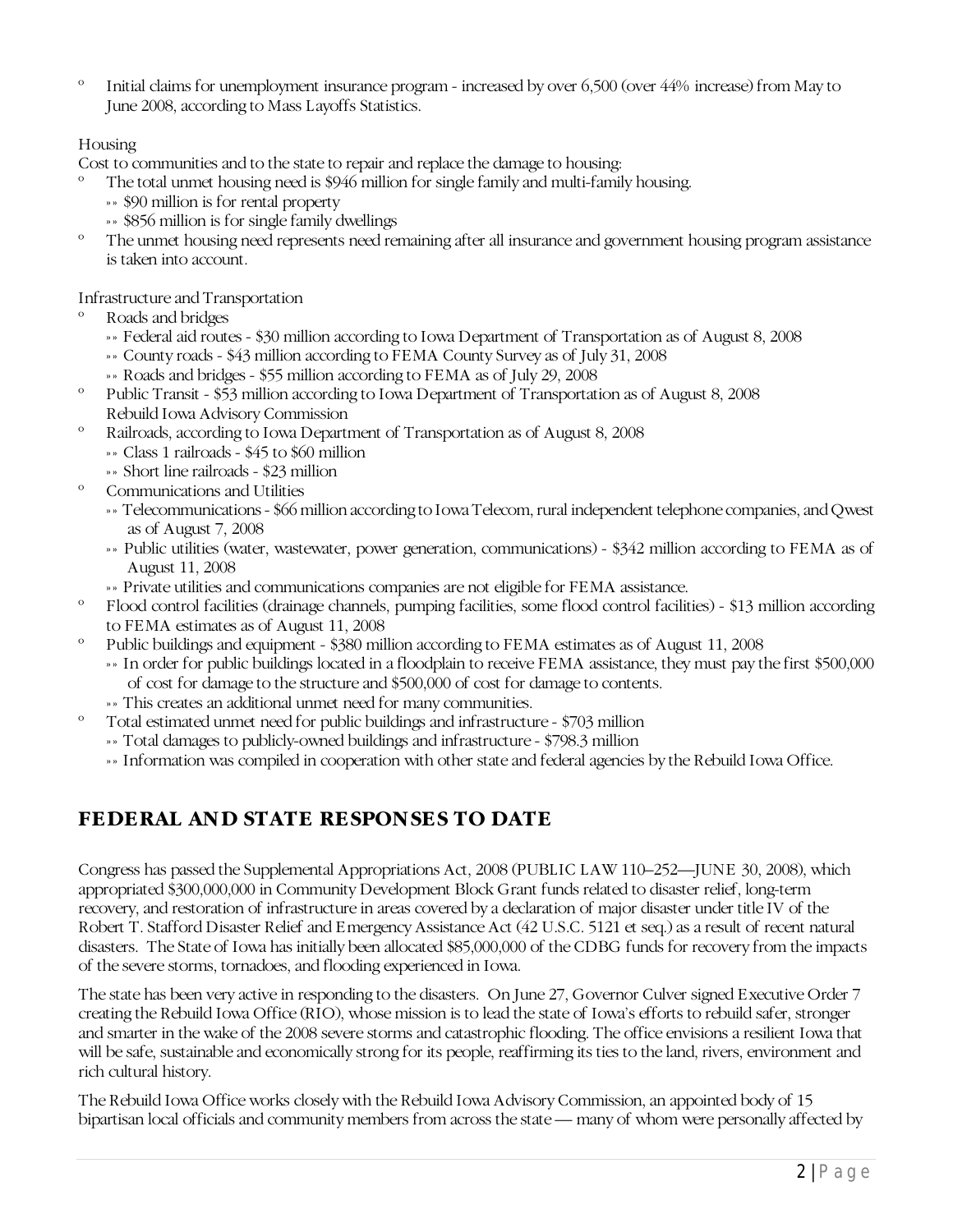º Initial claims for unemployment insurance program - increased by over 6,500 (over 44% increase) from May to June 2008, according to Mass Layoffs Statistics.

## <span id="page-4-0"></span>**Housing**

Cost to communities and to the state to repair and replace the damage to housing:

- The total unmet housing need is \$946 million for single family and multi-family housing.
	- »» \$90 million is for rental property
	- »» \$856 million is for single family dwellings
- The unmet housing need represents need remaining after all insurance and government housing program assistance is taken into account.

<span id="page-4-1"></span>Infrastructure and Transportation

- Roads and bridges
	- »» Federal aid routes \$30 million according to Iowa Department of Transportation as of August 8, 2008
	- »» County roads \$43 million according to FEMA County Survey as of July 31, 2008
	- »» Roads and bridges \$55 million according to FEMA as of July 29, 2008
- º Public Transit \$53 million according to Iowa Department of Transportation as of August 8, 2008 Rebuild Iowa Advisory Commission
- º Railroads, according to Iowa Department of Transportation as of August 8, 2008 »» Class 1 railroads - \$45 to \$60 million
	- »» Short line railroads \$23 million
- Communications and Utilities
	- »» Telecommunications \$66 million according to Iowa Telecom, rural independent telephone companies, and Qwest as of August 7, 2008
	- »» Public utilities (water, wastewater, power generation, communications) \$342 million according to FEMA as of August 11, 2008
	- »» Private utilities and communications companies are not eligible for FEMA assistance.
- º Flood control facilities (drainage channels, pumping facilities, some flood control facilities) \$13 million according to FEMA estimates as of August 11, 2008
- º Public buildings and equipment \$380 million according to FEMA estimates as of August 11, 2008
	- »» In order for public buildings located in a floodplain to receive FEMA assistance, they must pay the first \$500,000 of cost for damage to the structure and \$500,000 of cost for damage to contents.
	- »» This creates an additional unmet need for many communities.
- Total estimated unmet need for public buildings and infrastructure \$703 million
	- »» Total damages to publicly-owned buildings and infrastructure \$798.3 million
	- »» Information was compiled in cooperation with other state and federal agencies by the Rebuild Iowa Office.

## <span id="page-4-2"></span>**FEDERAL AND STATE RESPONSES TO DATE**

Congress has passed the Supplemental Appropriations Act, 2008 (PUBLIC LAW 110–252—JUNE 30, 2008), which appropriated \$300,000,000 in Community Development Block Grant funds related to disaster relief, long-term recovery, and restoration of infrastructure in areas covered by a declaration of major disaster under title IV of the Robert T. Stafford Disaster Relief and Emergency Assistance Act (42 U.S.C. 5121 et seq.) as a result of recent natural disasters. The State of Iowa has initially been allocated \$85,000,000 of the CDBG funds for recovery from the impacts of the severe storms, tornadoes, and flooding experienced in Iowa.

The state has been very active in responding to the disasters. On June 27, Governor Culver signed Executive Order 7 creating the Rebuild Iowa Office (RIO), whose mission is to lead the state of Iowa's efforts to rebuild safer, stronger and smarter in the wake of the 2008 severe storms and catastrophic flooding. The office envisions a resilient Iowa that will be safe, sustainable and economically strong for its people, reaffirming its ties to the land, rivers, environment and rich cultural history.

The Rebuild Iowa Office works closely with the Rebuild Iowa Advisory Commission, an appointed body of 15 bipartisan local officials and community members from across the state — many of whom were personally affected by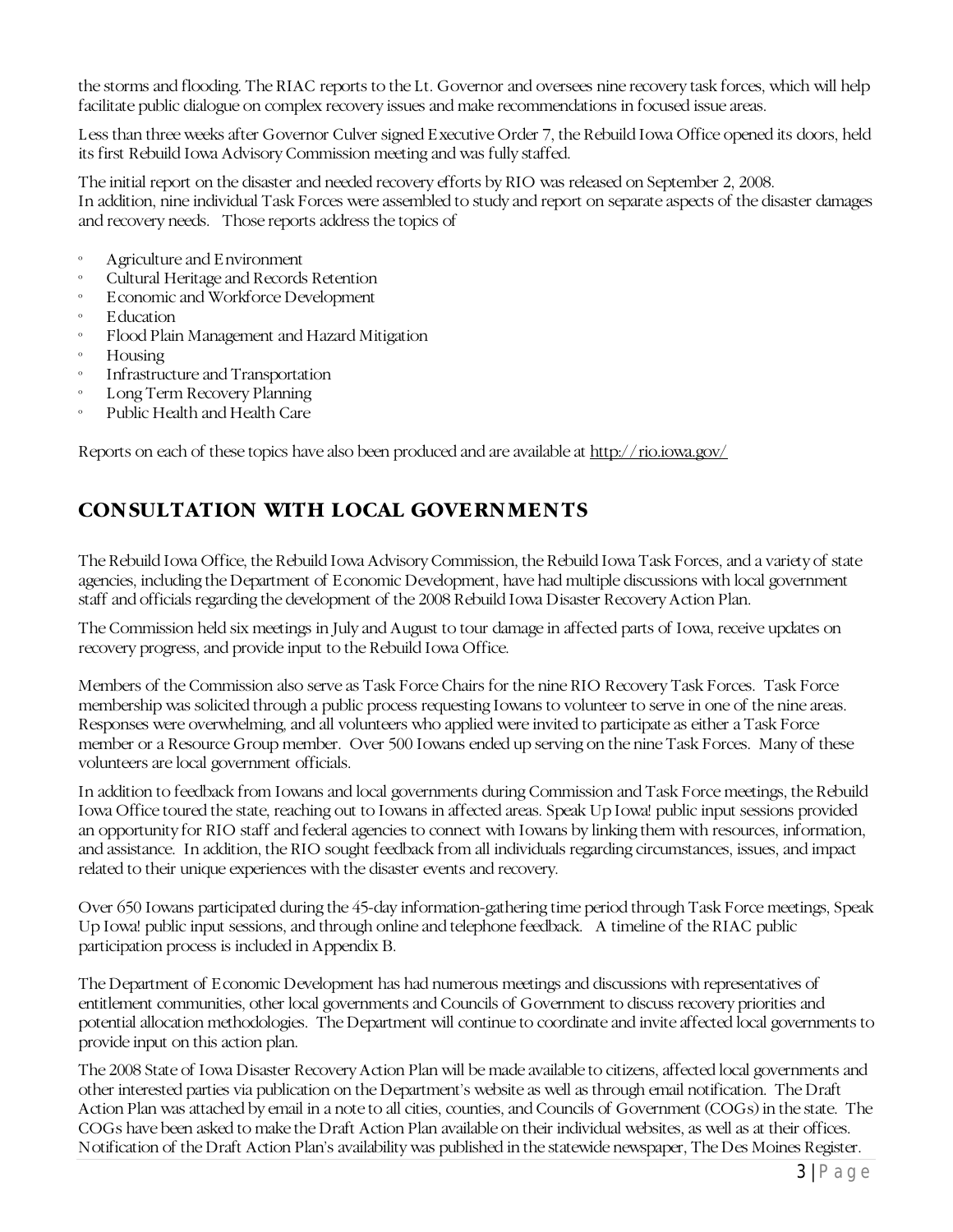the storms and flooding. The RIAC reports to the Lt. Governor and oversees nine recovery task forces, which will help facilitate public dialogue on complex recovery issues and make recommendations in focused issue areas.

Less than three weeks after Governor Culver signed Executive Order 7, the Rebuild Iowa Office opened its doors, held its first Rebuild Iowa Advisory Commission meeting and was fully staffed.

The initial report on the disaster and needed recovery efforts by RIO was released on September 2, 2008. In addition, nine individual Task Forces were assembled to study and report on separate aspects of the disaster damages and recovery needs. Those reports address the topics of

- Agriculture and Environment
- º Cultural Heritage and Records Retention
- º Economic and Workforce Development
- º Education
- Flood Plain Management and Hazard Mitigation
- **Housing**
- Infrastructure and Transportation
- Long Term Recovery Planning
- Public Health and Health Care

<span id="page-5-0"></span>Reports on each of these topics have also been produced and are available at<http://rio.iowa.gov/>

# **CONSULTATION WITH LOCAL GOVERNMENTS**

The Rebuild Iowa Office, the Rebuild Iowa Advisory Commission, the Rebuild Iowa Task Forces, and a variety of state agencies, including the Department of Economic Development, have had multiple discussions with local government staff and officials regarding the development of the 2008 Rebuild Iowa Disaster Recovery Action Plan.

The Commission held six meetings in July and August to tour damage in affected parts of Iowa, receive updates on recovery progress, and provide input to the Rebuild Iowa Office.

Members of the Commission also serve as Task Force Chairs for the nine RIO Recovery Task Forces. Task Force membership was solicited through a public process requesting Iowans to volunteer to serve in one of the nine areas. Responses were overwhelming, and all volunteers who applied were invited to participate as either a Task Force member or a Resource Group member. Over 500 Iowans ended up serving on the nine Task Forces. Many of these volunteers are local government officials.

In addition to feedback from Iowans and local governments during Commission and Task Force meetings, the Rebuild Iowa Office toured the state, reaching out to Iowans in affected areas. Speak Up Iowa! public input sessions provided an opportunity for RIO staff and federal agencies to connect with Iowans by linking them with resources, information, and assistance. In addition, the RIO sought feedback from all individuals regarding circumstances, issues, and impact related to their unique experiences with the disaster events and recovery.

Over 650 Iowans participated during the 45-day information-gathering time period through Task Force meetings, Speak Up Iowa! public input sessions, and through online and telephone feedback. A timeline of the RIAC public participation process is included in Appendix B.

The Department of Economic Development has had numerous meetings and discussions with representatives of entitlement communities, other local governments and Councils of Government to discuss recovery priorities and potential allocation methodologies. The Department will continue to coordinate and invite affected local governments to provide input on this action plan.

The 2008 State of Iowa Disaster Recovery Action Plan will be made available to citizens, affected local governments and other interested parties via publication on the Department's website as well as through email notification. The Draft Action Plan was attached by email in a note to all cities, counties, and Councils of Government (COGs) in the state. The COGs have been asked to make the Draft Action Plan available on their individual websites, as well as at their offices. Notification of the Draft Action Plan's availability was published in the statewide newspaper, The Des Moines Register.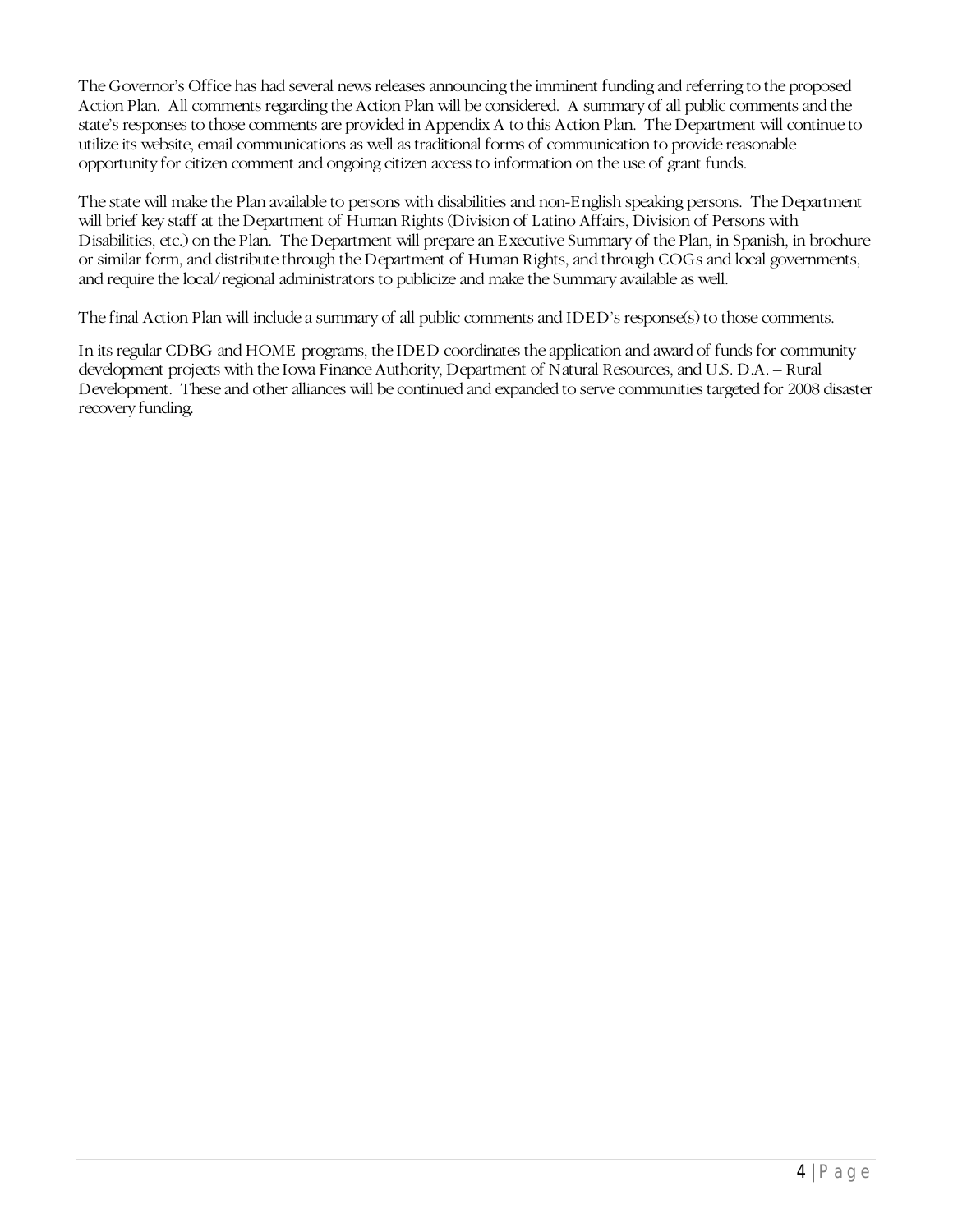The Governor's Office has had several news releases announcing the imminent funding and referring to the proposed Action Plan. All comments regarding the Action Plan will be considered. A summary of all public comments and the state's responses to those comments are provided in Appendix A to this Action Plan. The Department will continue to utilize its website, email communications as well as traditional forms of communication to provide reasonable opportunity for citizen comment and ongoing citizen access to information on the use of grant funds.

The state will make the Plan available to persons with disabilities and non-English speaking persons. The Department will brief key staff at the Department of Human Rights (Division of Latino Affairs, Division of Persons with Disabilities, etc.) on the Plan. The Department will prepare an Executive Summary of the Plan, in Spanish, in brochure or similar form, and distribute through the Department of Human Rights, and through COGs and local governments, and require the local/regional administrators to publicize and make the Summary available as well.

The final Action Plan will include a summary of all public comments and IDED's response(s) to those comments.

In its regular CDBG and HOME programs, the IDED coordinates the application and award of funds for community development projects with the Iowa Finance Authority, Department of Natural Resources, and U.S. D.A. – Rural Development. These and other alliances will be continued and expanded to serve communities targeted for 2008 disaster recovery funding.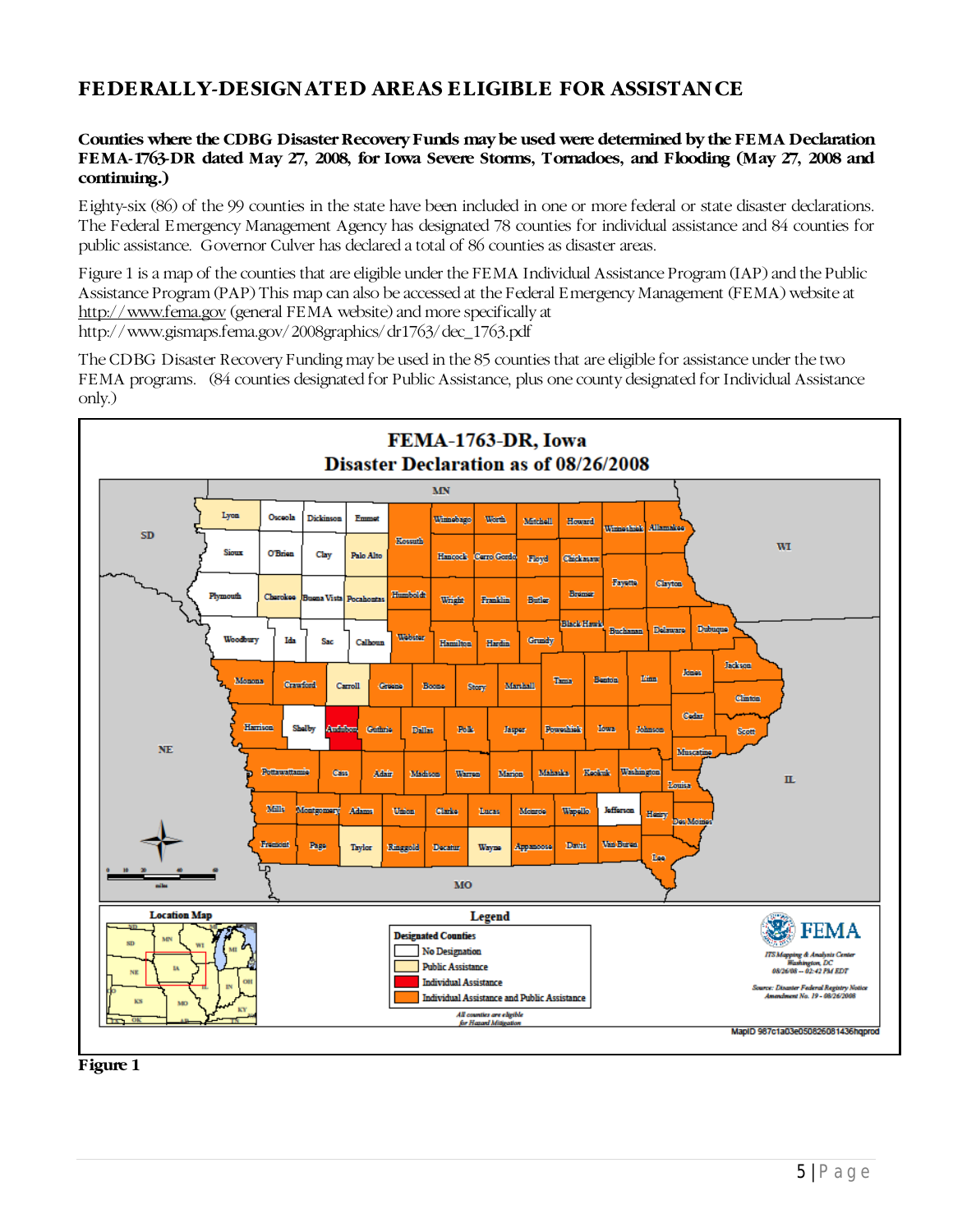## <span id="page-7-0"></span>**FEDERALLY-DESIGNATED AREAS ELIGIBLE FOR ASSISTANCE**

#### **Counties where the CDBG Disaster Recovery Funds may be used were determined by the FEMA Declaration FEMA-1763-DR dated May 27, 2008, for Iowa Severe Storms, Tornadoes, and Flooding (May 27, 2008 and continuing.)**

Eighty-six (86) of the 99 counties in the state have been included in one or more federal or state disaster declarations. The Federal Emergency Management Agency has designated 78 counties for individual assistance and 84 counties for public assistance. Governor Culver has declared a total of 86 counties as disaster areas.

Figure 1 is a map of the counties that are eligible under the FEMA Individual Assistance Program (IAP) and the Public Assistance Program (PAP) This map can also be accessed at the Federal Emergency Management (FEMA) website at [http://www.fema.gov](http://www.fema.gov/) (general FEMA website) and more specifically at http://www.gismaps.fema.gov/2008graphics/dr1763/dec\_1763.pdf

The CDBG Disaster Recovery Funding may be used in the 85 counties that are eligible for assistance under the two FEMA programs. (84 counties designated for Public Assistance, plus one county designated for Individual Assistance only.)



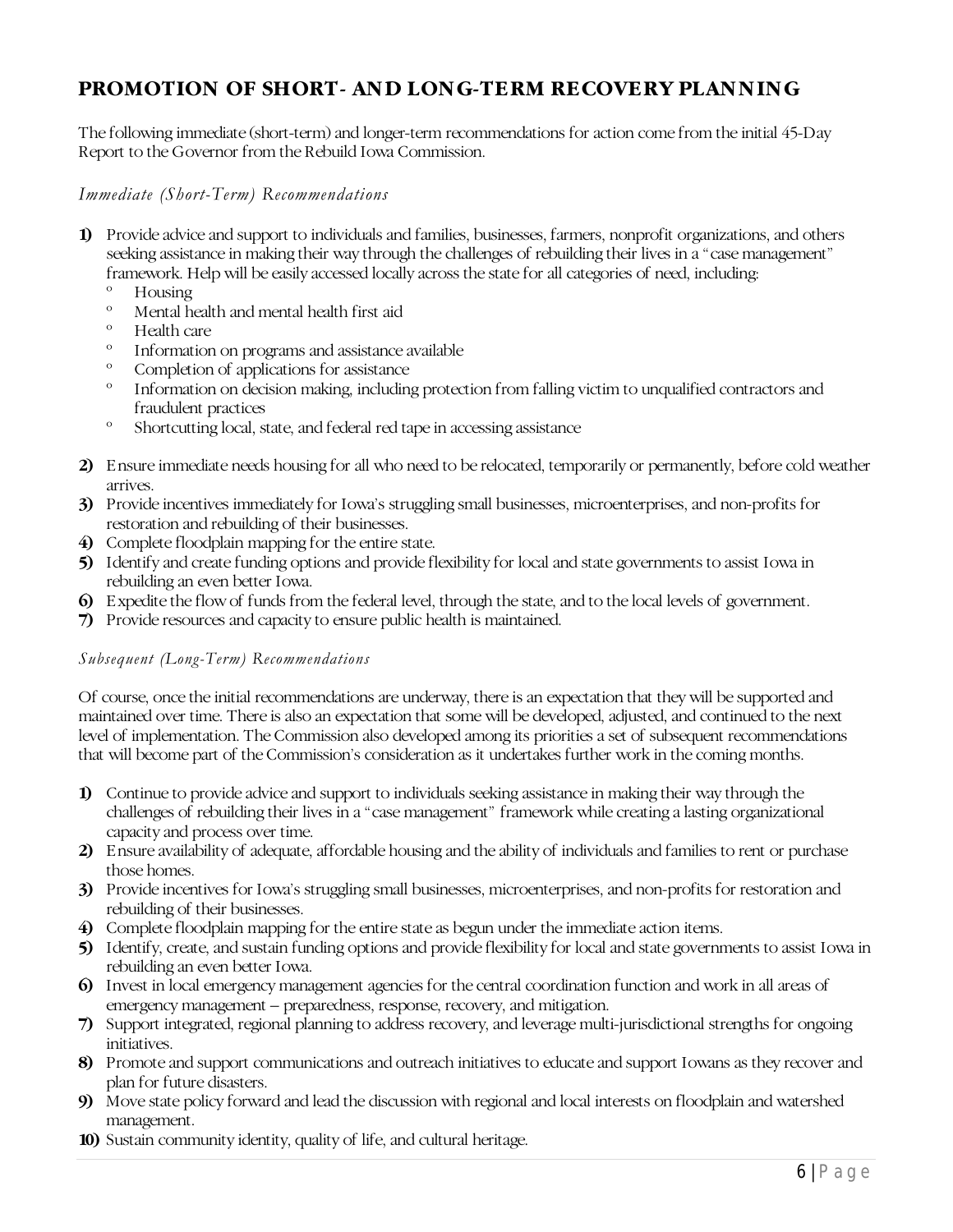# <span id="page-8-0"></span>**PROMOTION OF SHORT- AND LONG-TERM RECOVERY PLANNING**

The following immediate (short-term) and longer-term recommendations for action come from the initial 45-Day Report to the Governor from the Rebuild Iowa Commission.

<span id="page-8-1"></span>*Immediate (Short-Term) Recommendations*

- **1)** Provide advice and support to individuals and families, businesses, farmers, nonprofit organizations, and others seeking assistance in making their way through the challenges of rebuilding their lives in a "case management" framework. Help will be easily accessed locally across the state for all categories of need, including:
	- <sup>o</sup> Housing<br><sup>o</sup> Mental be
	- º Mental health and mental health first aid
	- Health care
	- º Information on programs and assistance available
	- Completion of applications for assistance
	- Information on decision making, including protection from falling victim to unqualified contractors and fraudulent practices
	- º Shortcutting local, state, and federal red tape in accessing assistance
- **2)** Ensure immediate needs housing for all who need to be relocated, temporarily or permanently, before cold weather arrives.
- **3)** Provide incentives immediately for Iowa's struggling small businesses, microenterprises, and non-profits for restoration and rebuilding of their businesses.
- **4)** Complete floodplain mapping for the entire state.
- **5)** Identify and create funding options and provide flexibility for local and state governments to assist Iowa in rebuilding an even better Iowa.
- **6)** Expedite the flow of funds from the federal level, through the state, and to the local levels of government.
- **7)** Provide resources and capacity to ensure public health is maintained.

#### <span id="page-8-2"></span>*Subsequent (Long-Term) Recommendations*

Of course, once the initial recommendations are underway, there is an expectation that they will be supported and maintained over time. There is also an expectation that some will be developed, adjusted, and continued to the next level of implementation. The Commission also developed among its priorities a set of subsequent recommendations that will become part of the Commission's consideration as it undertakes further work in the coming months.

- **1)** Continue to provide advice and support to individuals seeking assistance in making their way through the challenges of rebuilding their lives in a "case management" framework while creating a lasting organizational capacity and process over time.
- **2)** Ensure availability of adequate, affordable housing and the ability of individuals and families to rent or purchase those homes.
- **3)** Provide incentives for Iowa's struggling small businesses, microenterprises, and non-profits for restoration and rebuilding of their businesses.
- **4)** Complete floodplain mapping for the entire state as begun under the immediate action items.
- **5)** Identify, create, and sustain funding options and provide flexibility for local and state governments to assist Iowa in rebuilding an even better Iowa.
- **6)** Invest in local emergency management agencies for the central coordination function and work in all areas of emergency management – preparedness, response, recovery, and mitigation.
- **7)** Support integrated, regional planning to address recovery, and leverage multi-jurisdictional strengths for ongoing initiatives.
- **8)** Promote and support communications and outreach initiatives to educate and support Iowans as they recover and plan for future disasters.
- **9)** Move state policy forward and lead the discussion with regional and local interests on floodplain and watershed management.
- **10)** Sustain community identity, quality of life, and cultural heritage.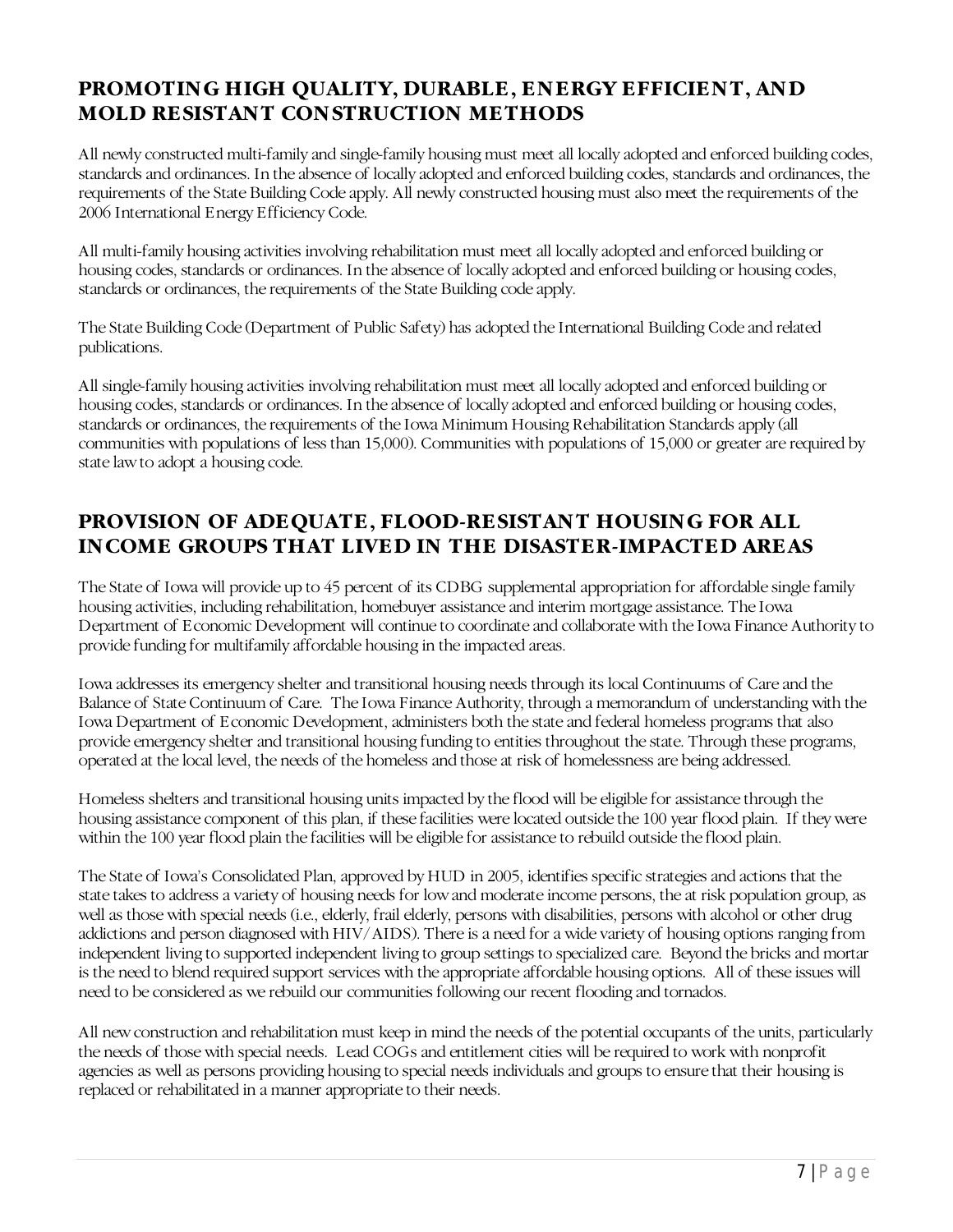## <span id="page-9-0"></span>**PROMOTING HIGH QUALITY, DURABLE, ENERGY EFFICIENT, AND MOLD RESISTANT CONSTRUCTION METHODS**

All newly constructed multi-family and single-family housing must meet all locally adopted and enforced building codes, standards and ordinances. In the absence of locally adopted and enforced building codes, standards and ordinances, the requirements of the State Building Code apply. All newly constructed housing must also meet the requirements of the 2006 International Energy Efficiency Code.

All multi-family housing activities involving rehabilitation must meet all locally adopted and enforced building or housing codes, standards or ordinances. In the absence of locally adopted and enforced building or housing codes, standards or ordinances, the requirements of the State Building code apply.

The State Building Code (Department of Public Safety) has adopted the International Building Code and related publications.

All single-family housing activities involving rehabilitation must meet all locally adopted and enforced building or housing codes, standards or ordinances. In the absence of locally adopted and enforced building or housing codes, standards or ordinances, the requirements of the Iowa Minimum Housing Rehabilitation Standards apply (all communities with populations of less than 15,000). Communities with populations of 15,000 or greater are required by state law to adopt a housing code.

## <span id="page-9-1"></span>**PROVISION OF ADEQUATE, FLOOD-RESISTANT HOUSING FOR ALL INCOME GROUPS THAT LIVED IN THE DISASTER-IMPACTED AREAS**

The State of Iowa will provide up to 45 percent of its CDBG supplemental appropriation for affordable single family housing activities, including rehabilitation, homebuyer assistance and interim mortgage assistance. The Iowa Department of Economic Development will continue to coordinate and collaborate with the Iowa Finance Authority to provide funding for multifamily affordable housing in the impacted areas.

Iowa addresses its emergency shelter and transitional housing needs through its local Continuums of Care and the Balance of State Continuum of Care. The Iowa Finance Authority, through a memorandum of understanding with the Iowa Department of Economic Development, administers both the state and federal homeless programs that also provide emergency shelter and transitional housing funding to entities throughout the state. Through these programs, operated at the local level, the needs of the homeless and those at risk of homelessness are being addressed.

Homeless shelters and transitional housing units impacted by the flood will be eligible for assistance through the housing assistance component of this plan, if these facilities were located outside the 100 year flood plain. If they were within the 100 year flood plain the facilities will be eligible for assistance to rebuild outside the flood plain.

The State of Iowa's Consolidated Plan, approved by HUD in 2005, identifies specific strategies and actions that the state takes to address a variety of housing needs for low and moderate income persons, the at risk population group, as well as those with special needs (i.e., elderly, frail elderly, persons with disabilities, persons with alcohol or other drug addictions and person diagnosed with HIV/AIDS). There is a need for a wide variety of housing options ranging from independent living to supported independent living to group settings to specialized care. Beyond the bricks and mortar is the need to blend required support services with the appropriate affordable housing options. All of these issues will need to be considered as we rebuild our communities following our recent flooding and tornados.

All new construction and rehabilitation must keep in mind the needs of the potential occupants of the units, particularly the needs of those with special needs. Lead COGs and entitlement cities will be required to work with nonprofit agencies as well as persons providing housing to special needs individuals and groups to ensure that their housing is replaced or rehabilitated in a manner appropriate to their needs.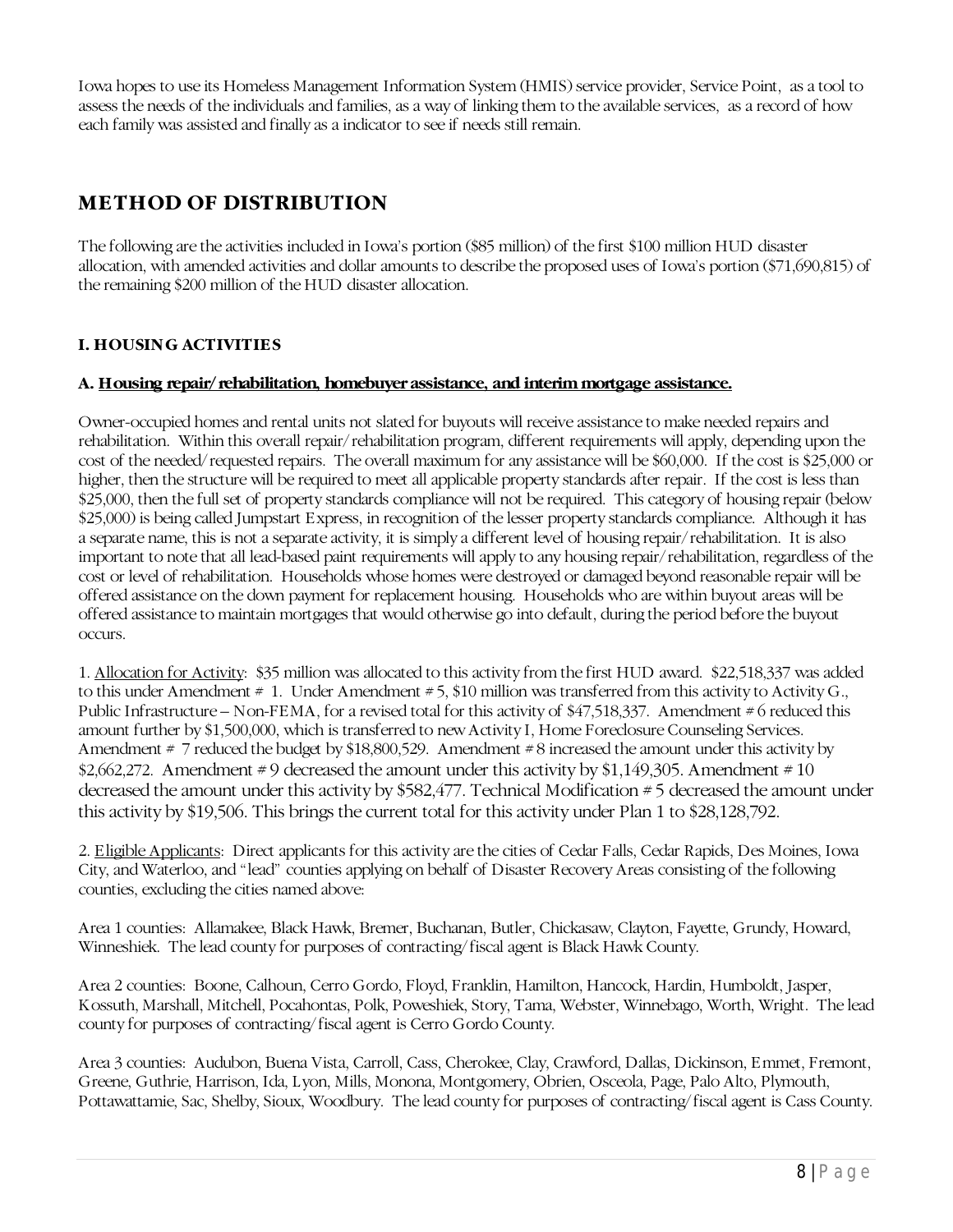Iowa hopes to use its Homeless Management Information System (HMIS) service provider, Service Point, as a tool to assess the needs of the individuals and families, as a way of linking them to the available services, as a record of how each family was assisted and finally as a indicator to see if needs still remain.

# **METHOD OF DISTRIBUTION**

The following are the activities included in Iowa's portion (\$85 million) of the first \$100 million HUD disaster allocation, with amended activities and dollar amounts to describe the proposed uses of Iowa's portion (\$71,690,815) of the remaining \$200 million of the HUD disaster allocation.

## **I. HOUSING ACTIVITIES**

## **A. Housing repair/rehabilitation, homebuyer assistance, and interim mortgage assistance.**

Owner-occupied homes and rental units not slated for buyouts will receive assistance to make needed repairs and rehabilitation. Within this overall repair/rehabilitation program, different requirements will apply, depending upon the cost of the needed/requested repairs. The overall maximum for any assistance will be \$60,000. If the cost is \$25,000 or higher, then the structure will be required to meet all applicable property standards after repair. If the cost is less than \$25,000, then the full set of property standards compliance will not be required. This category of housing repair (below \$25,000) is being called Jumpstart Express, in recognition of the lesser property standards compliance. Although it has a separate name, this is not a separate activity, it is simply a different level of housing repair/rehabilitation. It is also important to note that all lead-based paint requirements will apply to any housing repair/rehabilitation, regardless of the cost or level of rehabilitation. Households whose homes were destroyed or damaged beyond reasonable repair will be offered assistance on the down payment for replacement housing. Households who are within buyout areas will be offered assistance to maintain mortgages that would otherwise go into default, during the period before the buyout occurs.

1. Allocation for Activity: \$35 million was allocated to this activity from the first HUD award. \$22,518,337 was added to this under Amendment # 1. Under Amendment # 5, \$10 million was transferred from this activity to Activity G., Public Infrastructure – Non-FEMA, for a revised total for this activity of \$47,518,337. Amendment # 6 reduced this amount further by \$1,500,000, which is transferred to new Activity I, Home Foreclosure Counseling Services. Amendment # 7 reduced the budget by \$18,800,529. Amendment #8 increased the amount under this activity by \$2,662,272. Amendment  $\neq 9$  decreased the amount under this activity by \$1,149,305. Amendment  $\neq 10$ decreased the amount under this activity by \$582,477. Technical Modification # 5 decreased the amount under this activity by \$19,506. This brings the current total for this activity under Plan 1 to \$28,128,792.

2. Eligible Applicants: Direct applicants for this activity are the cities of Cedar Falls, Cedar Rapids, Des Moines, Iowa City, and Waterloo, and "lead" counties applying on behalf of Disaster Recovery Areas consisting of the following counties, excluding the cities named above:

Area 1 counties: Allamakee, Black Hawk, Bremer, Buchanan, Butler, Chickasaw, Clayton, Fayette, Grundy, Howard, Winneshiek. The lead county for purposes of contracting/fiscal agent is Black Hawk County.

Area 2 counties: Boone, Calhoun, Cerro Gordo, Floyd, Franklin, Hamilton, Hancock, Hardin, Humboldt, Jasper, Kossuth, Marshall, Mitchell, Pocahontas, Polk, Poweshiek, Story, Tama, Webster, Winnebago, Worth, Wright. The lead county for purposes of contracting/fiscal agent is Cerro Gordo County.

Area 3 counties: Audubon, Buena Vista, Carroll, Cass, Cherokee, Clay, Crawford, Dallas, Dickinson, Emmet, Fremont, Greene, Guthrie, Harrison, Ida, Lyon, Mills, Monona, Montgomery, Obrien, Osceola, Page, Palo Alto, Plymouth, Pottawattamie, Sac, Shelby, Sioux, Woodbury. The lead county for purposes of contracting/fiscal agent is Cass County.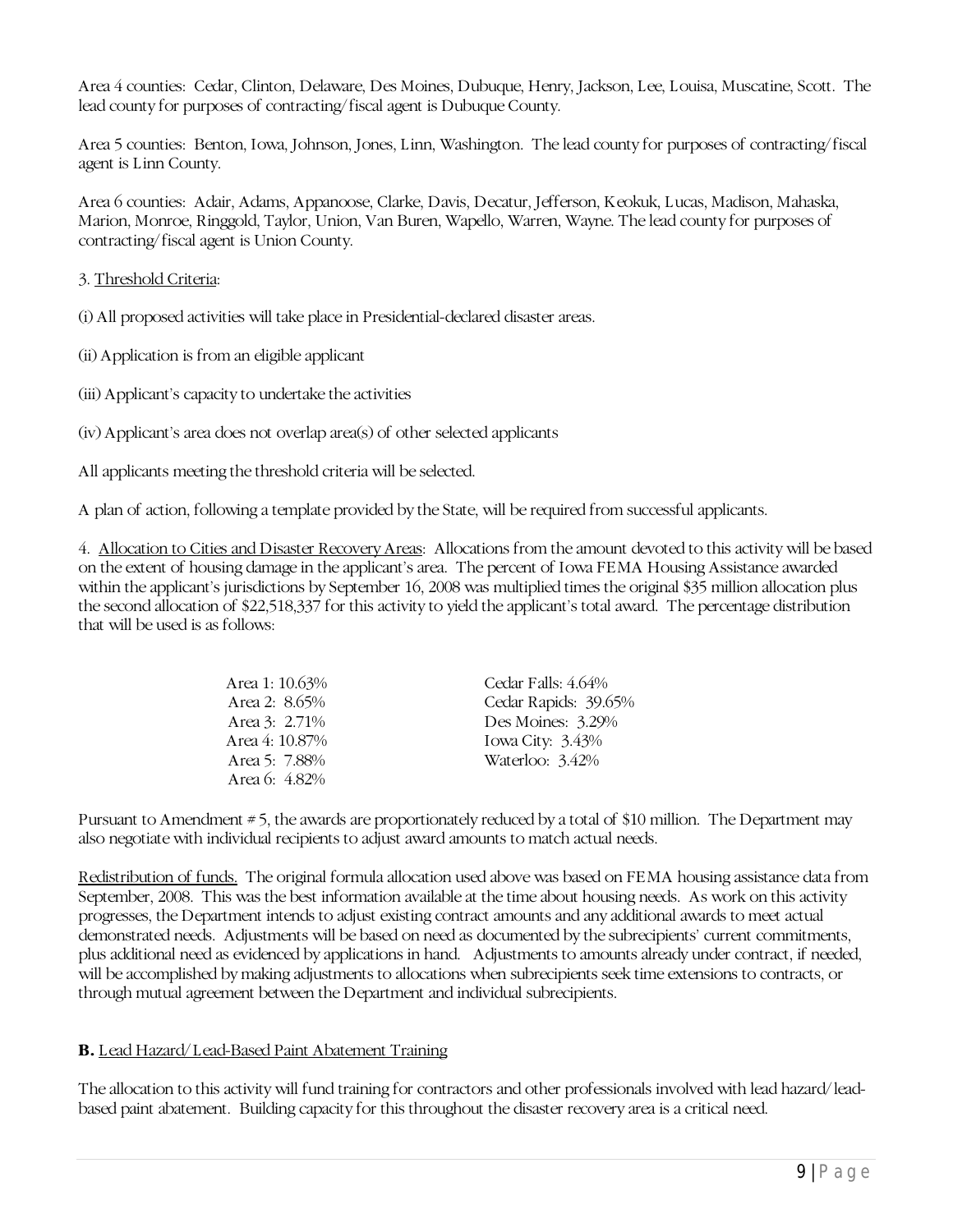Area 4 counties: Cedar, Clinton, Delaware, Des Moines, Dubuque, Henry, Jackson, Lee, Louisa, Muscatine, Scott. The lead county for purposes of contracting/fiscal agent is Dubuque County.

Area 5 counties: Benton, Iowa, Johnson, Jones, Linn, Washington. The lead county for purposes of contracting/fiscal agent is Linn County.

Area 6 counties: Adair, Adams, Appanoose, Clarke, Davis, Decatur, Jefferson, Keokuk, Lucas, Madison, Mahaska, Marion, Monroe, Ringgold, Taylor, Union, Van Buren, Wapello, Warren, Wayne. The lead county for purposes of contracting/fiscal agent is Union County.

#### 3. Threshold Criteria:

(i) All proposed activities will take place in Presidential-declared disaster areas.

(ii) Application is from an eligible applicant

(iii) Applicant's capacity to undertake the activities

(iv) Applicant's area does not overlap area(s) of other selected applicants

All applicants meeting the threshold criteria will be selected.

A plan of action, following a template provided by the State, will be required from successful applicants.

4. Allocation to Cities and Disaster Recovery Areas: Allocations from the amount devoted to this activity will be based on the extent of housing damage in the applicant's area. The percent of Iowa FEMA Housing Assistance awarded within the applicant's jurisdictions by September 16, 2008 was multiplied times the original \$35 million allocation plus the second allocation of \$22,518,337 for this activity to yield the applicant's total award. The percentage distribution that will be used is as follows:

| Area 1: 10.63% | Cedar Falls: 4.64%   |
|----------------|----------------------|
| Area 2: 8.65%  | Cedar Rapids: 39.65% |
| Area 3: 2.71%  | Des Moines: $3.29%$  |
| Area 4: 10.87% | Iowa City: $3.43\%$  |
| Area 5: 7.88%  | Waterloo: 3.42%      |
| Area 6: 4.82%  |                      |

Pursuant to Amendment # 5, the awards are proportionately reduced by a total of \$10 million. The Department may also negotiate with individual recipients to adjust award amounts to match actual needs.

Redistribution of funds. The original formula allocation used above was based on FEMA housing assistance data from September, 2008. This was the best information available at the time about housing needs. As work on this activity progresses, the Department intends to adjust existing contract amounts and any additional awards to meet actual demonstrated needs. Adjustments will be based on need as documented by the subrecipients' current commitments, plus additional need as evidenced by applications in hand. Adjustments to amounts already under contract, if needed, will be accomplished by making adjustments to allocations when subrecipients seek time extensions to contracts, or through mutual agreement between the Department and individual subrecipients.

## **B.** Lead Hazard/Lead-Based Paint Abatement Training

The allocation to this activity will fund training for contractors and other professionals involved with lead hazard/leadbased paint abatement. Building capacity for this throughout the disaster recovery area is a critical need.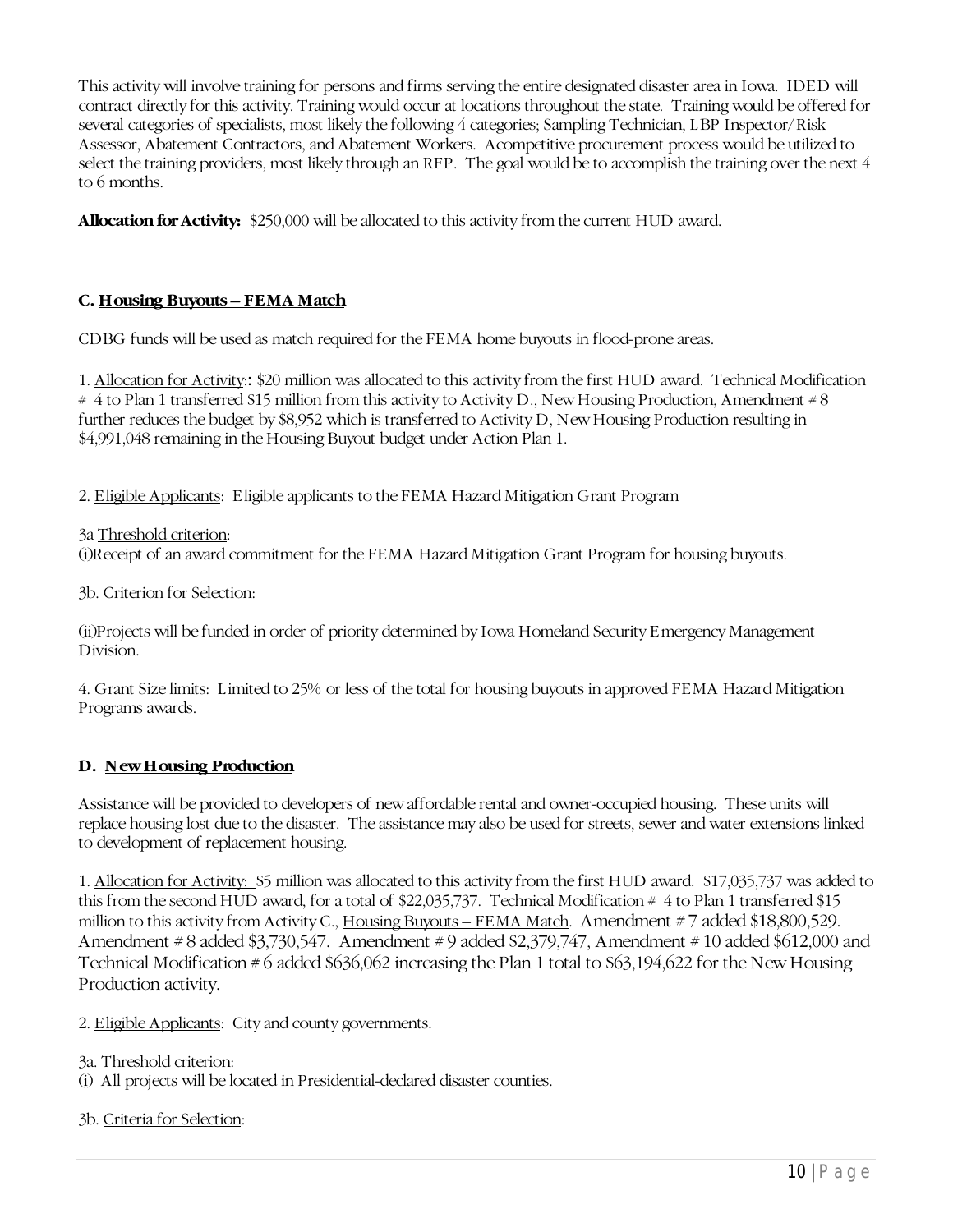This activity will involve training for persons and firms serving the entire designated disaster area in Iowa. IDED will contract directly for this activity. Training would occur at locations throughout the state. Training would be offered for several categories of specialists, most likely the following 4 categories; Sampling Technician, LBP Inspector/Risk Assessor, Abatement Contractors, and Abatement Workers. Acompetitive procurement process would be utilized to select the training providers, most likely through an RFP. The goal would be to accomplish the training over the next 4 to 6 months.

**Allocation for Activity:** \$250,000 will be allocated to this activity from the current HUD award.

## **C. Housing Buyouts – FEMA Match**

CDBG funds will be used as match required for the FEMA home buyouts in flood-prone areas.

1. Allocation for Activity:: \$20 million was allocated to this activity from the first HUD award. Technical Modification # 4 to Plan 1 transferred \$15 million from this activity to Activity D., New Housing Production, Amendment # 8 further reduces the budget by \$8,952 which is transferred to Activity D, New Housing Production resulting in \$4,991,048 remaining in the Housing Buyout budget under Action Plan 1.

2. Eligible Applicants: Eligible applicants to the FEMA Hazard Mitigation Grant Program

3a Threshold criterion: (i)Receipt of an award commitment for the FEMA Hazard Mitigation Grant Program for housing buyouts.

3b. Criterion for Selection:

(ii)Projects will be funded in order of priority determined by Iowa Homeland Security Emergency Management Division.

4. Grant Size limits: Limited to 25% or less of the total for housing buyouts in approved FEMA Hazard Mitigation Programs awards.

## **D. New Housing Production**

Assistance will be provided to developers of new affordable rental and owner-occupied housing. These units will replace housing lost due to the disaster. The assistance may also be used for streets, sewer and water extensions linked to development of replacement housing.

1. Allocation for Activity: \$5 million was allocated to this activity from the first HUD award. \$17,035,737 was added to this from the second HUD award, for a total of \$22,035,737. Technical Modification # 4 to Plan 1 transferred \$15 million to this activity from Activity C., Housing Buyouts – FEMA Match. Amendment #7 added \$18,800,529. Amendment # 8 added \$3,730,547. Amendment # 9 added \$2,379,747, Amendment # 10 added \$612,000 and Technical Modification  $\#6$  added \$636,062 increasing the Plan 1 total to \$63,194,622 for the New Housing Production activity.

2. Eligible Applicants: City and county governments.

```
3a. Threshold criterion:
```
(i) All projects will be located in Presidential-declared disaster counties.

## 3b. Criteria for Selection: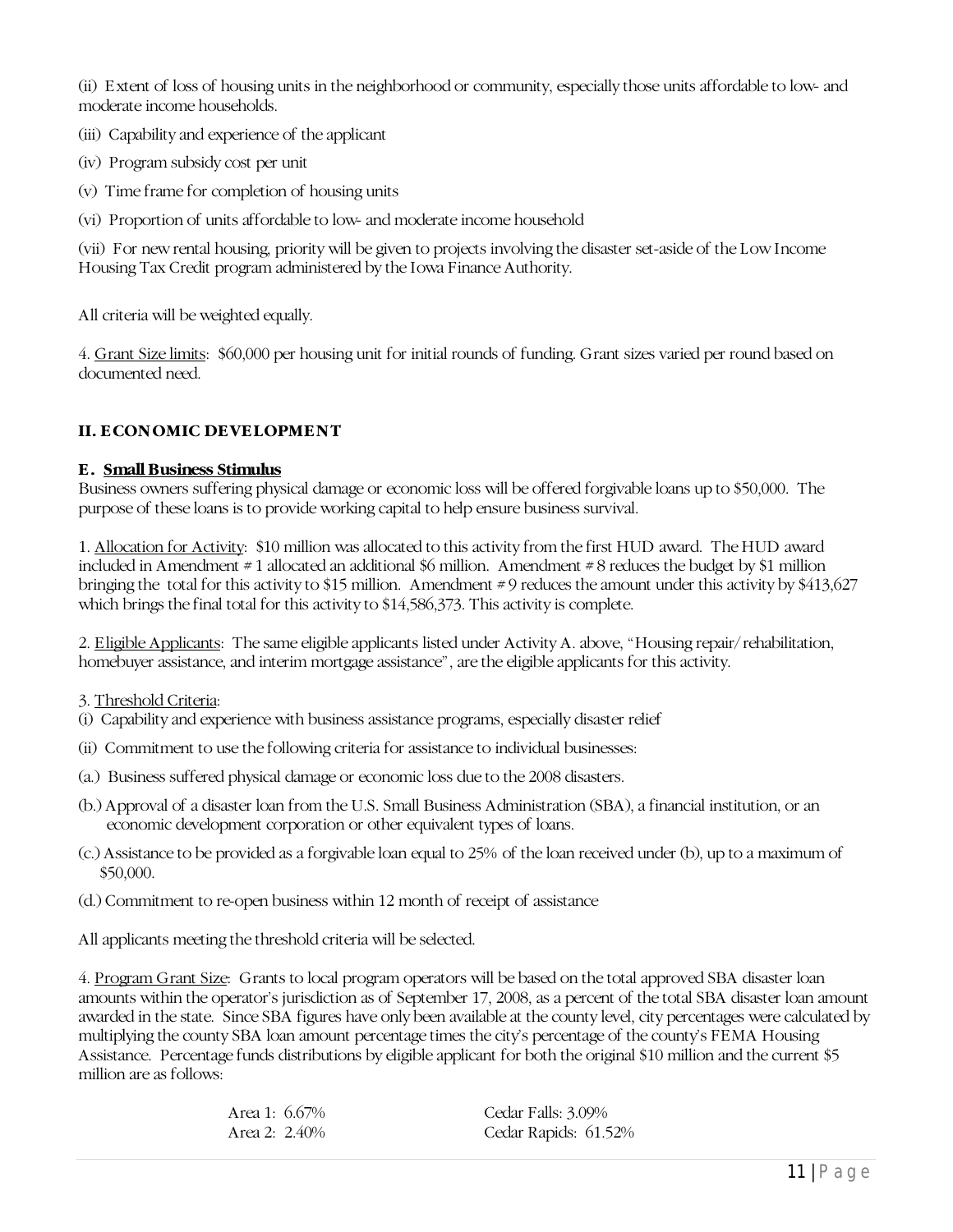(ii) Extent of loss of housing units in the neighborhood or community, especially those units affordable to low- and moderate income households.

- (iii) Capability and experience of the applicant
- (iv) Program subsidy cost per unit
- (v) Time frame for completion of housing units
- (vi) Proportion of units affordable to low- and moderate income household

(vii) For new rental housing, priority will be given to projects involving the disaster set-aside of the Low Income Housing Tax Credit program administered by the Iowa Finance Authority.

All criteria will be weighted equally.

4. Grant Size limits: \$60,000 per housing unit for initial rounds of funding. Grant sizes varied per round based on documented need.

## **II. ECONOMIC DEVELOPMENT**

#### **E. Small Business Stimulus**

Business owners suffering physical damage or economic loss will be offered forgivable loans up to \$50,000. The purpose of these loans is to provide working capital to help ensure business survival.

1. Allocation for Activity: \$10 million was allocated to this activity from the first HUD award. The HUD award included in Amendment # 1 allocated an additional \$6 million. Amendment # 8 reduces the budget by \$1 million bringing the total for this activity to \$15 million. Amendment # 9 reduces the amount under this activity by \$413,627 which brings the final total for this activity to \$14,586,373. This activity is complete.

2. Eligible Applicants: The same eligible applicants listed under Activity A. above, "Housing repair/rehabilitation, homebuyer assistance, and interim mortgage assistance", are the eligible applicants for this activity.

- 3. Threshold Criteria:
- (i) Capability and experience with business assistance programs, especially disaster relief
- (ii) Commitment to use the following criteria for assistance to individual businesses:
- (a.) Business suffered physical damage or economic loss due to the 2008 disasters.
- (b.) Approval of a disaster loan from the U.S. Small Business Administration (SBA), a financial institution, or an economic development corporation or other equivalent types of loans.
- (c.) Assistance to be provided as a forgivable loan equal to 25% of the loan received under (b), up to a maximum of \$50,000.
- (d.) Commitment to re-open business within 12 month of receipt of assistance

All applicants meeting the threshold criteria will be selected.

4. Program Grant Size: Grants to local program operators will be based on the total approved SBA disaster loan amounts within the operator's jurisdiction as of September 17, 2008, as a percent of the total SBA disaster loan amount awarded in the state. Since SBA figures have only been available at the county level, city percentages were calculated by multiplying the county SBA loan amount percentage times the city's percentage of the county's FEMA Housing Assistance. Percentage funds distributions by eligible applicant for both the original \$10 million and the current \$5 million are as follows:

> Area 1: 6.67% Area 2: 2.40%

Cedar Falls: 3.09% Cedar Rapids: 61.52%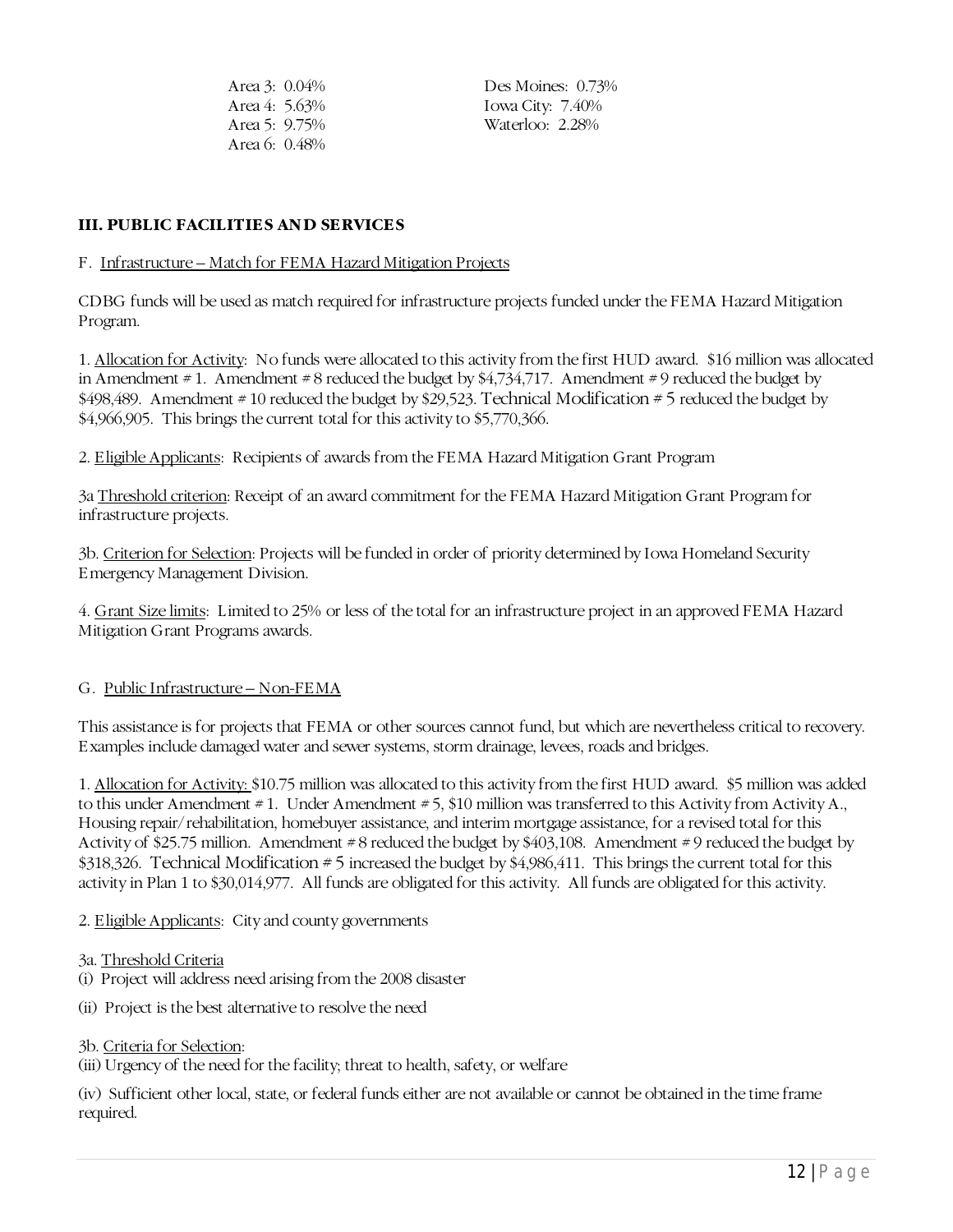| Area 3: 0.04% |  |
|---------------|--|
| Area 4: 5.63% |  |
| Area 5: 9.75% |  |
| Area 6: 0.48% |  |

Des Moines: 0.73% Iowa City: 7.40% Waterloo: 2.28%

#### **III. PUBLIC FACILITIES AND SERVICES**

#### F. Infrastructure – Match for FEMA Hazard Mitigation Projects

CDBG funds will be used as match required for infrastructure projects funded under the FEMA Hazard Mitigation Program.

1. Allocation for Activity: No funds were allocated to this activity from the first HUD award. \$16 million was allocated in Amendment #1. Amendment #8 reduced the budget by \$4,734,717. Amendment #9 reduced the budget by \$498,489. Amendment # 10 reduced the budget by \$29,523. Technical Modification # 5 reduced the budget by \$4,966,905. This brings the current total for this activity to \$5,770,366.

2. Eligible Applicants: Recipients of awards from the FEMA Hazard Mitigation Grant Program

3a Threshold criterion: Receipt of an award commitment for the FEMA Hazard Mitigation Grant Program for infrastructure projects.

3b. Criterion for Selection: Projects will be funded in order of priority determined by Iowa Homeland Security Emergency Management Division.

4. Grant Size limits: Limited to 25% or less of the total for an infrastructure project in an approved FEMA Hazard Mitigation Grant Programs awards.

#### G. Public Infrastructure – Non-FEMA

This assistance is for projects that FEMA or other sources cannot fund, but which are nevertheless critical to recovery. Examples include damaged water and sewer systems, storm drainage, levees, roads and bridges.

1. Allocation for Activity: \$10.75 million was allocated to this activity from the first HUD award. \$5 million was added to this under Amendment #1. Under Amendment # 5, \$10 million was transferred to this Activity from Activity A., Housing repair/rehabilitation, homebuyer assistance, and interim mortgage assistance, for a revised total for this Activity of \$25.75 million. Amendment # 8 reduced the budget by \$403,108. Amendment # 9 reduced the budget by \$318,326. Technical Modification # 5 increased the budget by \$4,986,411. This brings the current total for this activity in Plan 1 to \$30,014,977. All funds are obligated for this activity. All funds are obligated for this activity.

2. Eligible Applicants: City and county governments

#### 3a. Threshold Criteria

- (i) Project will address need arising from the 2008 disaster
- (ii) Project is the best alternative to resolve the need

#### 3b. Criteria for Selection:

(iii) Urgency of the need for the facility; threat to health, safety, or welfare

(iv) Sufficient other local, state, or federal funds either are not available or cannot be obtained in the time frame required.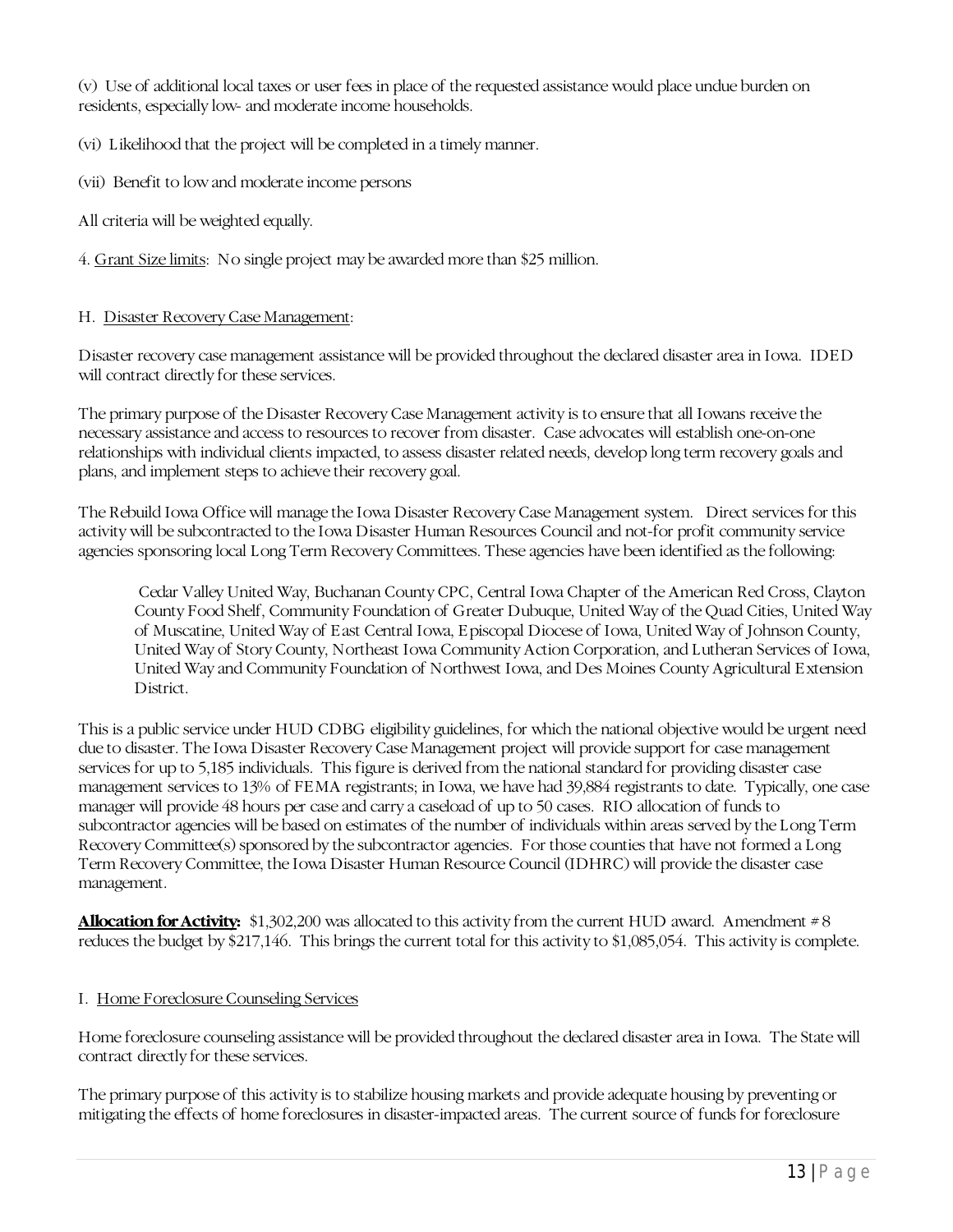(v) Use of additional local taxes or user fees in place of the requested assistance would place undue burden on residents, especially low- and moderate income households.

(vi) Likelihood that the project will be completed in a timely manner.

(vii) Benefit to low and moderate income persons

All criteria will be weighted equally.

4. Grant Size limits: No single project may be awarded more than \$25 million.

#### H. Disaster Recovery Case Management:

Disaster recovery case management assistance will be provided throughout the declared disaster area in Iowa. IDED will contract directly for these services.

The primary purpose of the Disaster Recovery Case Management activity is to ensure that all Iowans receive the necessary assistance and access to resources to recover from disaster. Case advocates will establish one-on-one relationships with individual clients impacted, to assess disaster related needs, develop long term recovery goals and plans, and implement steps to achieve their recovery goal.

The Rebuild Iowa Office will manage the Iowa Disaster Recovery Case Management system. Direct services for this activity will be subcontracted to the Iowa Disaster Human Resources Council and not-for profit community service agencies sponsoring local Long Term Recovery Committees. These agencies have been identified as the following:

Cedar Valley United Way, Buchanan County CPC, Central Iowa Chapter of the American Red Cross, Clayton County Food Shelf, Community Foundation of Greater Dubuque, United Way of the Quad Cities, United Way of Muscatine, United Way of East Central Iowa, Episcopal Diocese of Iowa, United Way of Johnson County, United Way of Story County, Northeast Iowa Community Action Corporation, and Lutheran Services of Iowa, United Way and Community Foundation of Northwest Iowa, and Des Moines County Agricultural Extension **District** 

This is a public service under HUD CDBG eligibility guidelines, for which the national objective would be urgent need due to disaster. The Iowa Disaster Recovery Case Management project will provide support for case management services for up to 5,185 individuals. This figure is derived from the national standard for providing disaster case management services to 13% of FEMA registrants; in Iowa, we have had 39,884 registrants to date. Typically, one case manager will provide 48 hours per case and carry a caseload of up to 50 cases. RIO allocation of funds to subcontractor agencies will be based on estimates of the number of individuals within areas served by the Long Term Recovery Committee(s) sponsored by the subcontractor agencies. For those counties that have not formed a Long Term Recovery Committee, the Iowa Disaster Human Resource Council (IDHRC) will provide the disaster case management.

**Allocation for Activity:** \$1,302,200 was allocated to this activity from the current HUD award. Amendment # 8 reduces the budget by \$217,146. This brings the current total for this activity to \$1,085,054. This activity is complete.

## I. Home Foreclosure Counseling Services

Home foreclosure counseling assistance will be provided throughout the declared disaster area in Iowa. The State will contract directly for these services.

The primary purpose of this activity is to stabilize housing markets and provide adequate housing by preventing or mitigating the effects of home foreclosures in disaster-impacted areas. The current source of funds for foreclosure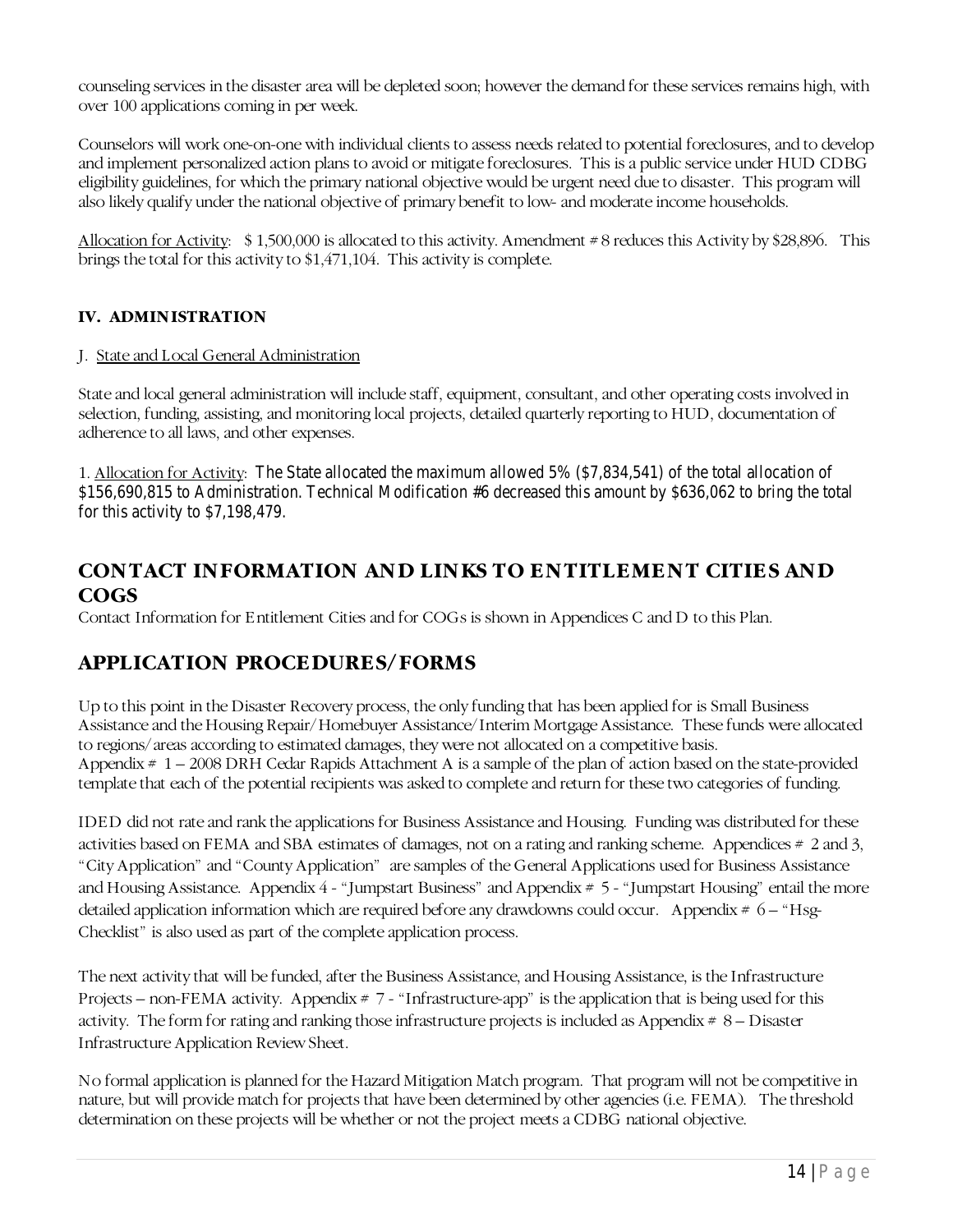counseling services in the disaster area will be depleted soon; however the demand for these services remains high, with over 100 applications coming in per week.

Counselors will work one-on-one with individual clients to assess needs related to potential foreclosures, and to develop and implement personalized action plans to avoid or mitigate foreclosures. This is a public service under HUD CDBG eligibility guidelines, for which the primary national objective would be urgent need due to disaster. This program will also likely qualify under the national objective of primary benefit to low- and moderate income households.

Allocation for Activity:\$ 1,500,000 is allocated to this activity. Amendment # 8 reduces this Activity by \$28,896. This brings the total for this activity to \$1,471,104. This activity is complete.

## **IV. ADMINISTRATION**

#### J. State and Local General Administration

State and local general administration will include staff, equipment, consultant, and other operating costs involved in selection, funding, assisting, and monitoring local projects, detailed quarterly reporting to HUD, documentation of adherence to all laws, and other expenses.

1. Allocation for Activity: The State allocated the maximum allowed 5% (\$7,834,541) of the total allocation of \$156,690,815 to Administration. Technical Modification #6 decreased this amount by \$636,062 to bring the total for this activity to \$7,198,479.

## <span id="page-16-0"></span>**CONTACT INFORMATION AND LINKS TO ENTITLEMENT CITIES AND COGS**

Contact Information for Entitlement Cities and for COGs is shown in Appendices C and D to this Plan.

## **APPLICATION PROCEDURES/FORMS**

Up to this point in the Disaster Recovery process, the only funding that has been applied for is Small Business Assistance and the Housing Repair/Homebuyer Assistance/Interim Mortgage Assistance. These funds were allocated to regions/areas according to estimated damages, they were not allocated on a competitive basis. Appendix # 1 – 2008 DRH Cedar Rapids Attachment A is a sample of the plan of action based on the state-provided template that each of the potential recipients was asked to complete and return for these two categories of funding.

IDED did not rate and rank the applications for Business Assistance and Housing. Funding was distributed for these activities based on FEMA and SBA estimates of damages, not on a rating and ranking scheme. Appendices # 2 and 3, "City Application" and "County Application" are samples of the General Applications used for Business Assistance and Housing Assistance. Appendix 4 - "Jumpstart Business" and Appendix # 5 - "Jumpstart Housing" entail the more detailed application information which are required before any drawdowns could occur. Appendix  $# 6 - "Hsg-$ Checklist" is also used as part of the complete application process.

The next activity that will be funded, after the Business Assistance, and Housing Assistance, is the Infrastructure Projects – non-FEMA activity. Appendix  $# 7 - "Infrastructure-app"$  is the application that is being used for this activity. The form for rating and ranking those infrastructure projects is included as Appendix # 8 – Disaster Infrastructure Application Review Sheet.

No formal application is planned for the Hazard Mitigation Match program. That program will not be competitive in nature, but will provide match for projects that have been determined by other agencies (i.e. FEMA). The threshold determination on these projects will be whether or not the project meets a CDBG national objective.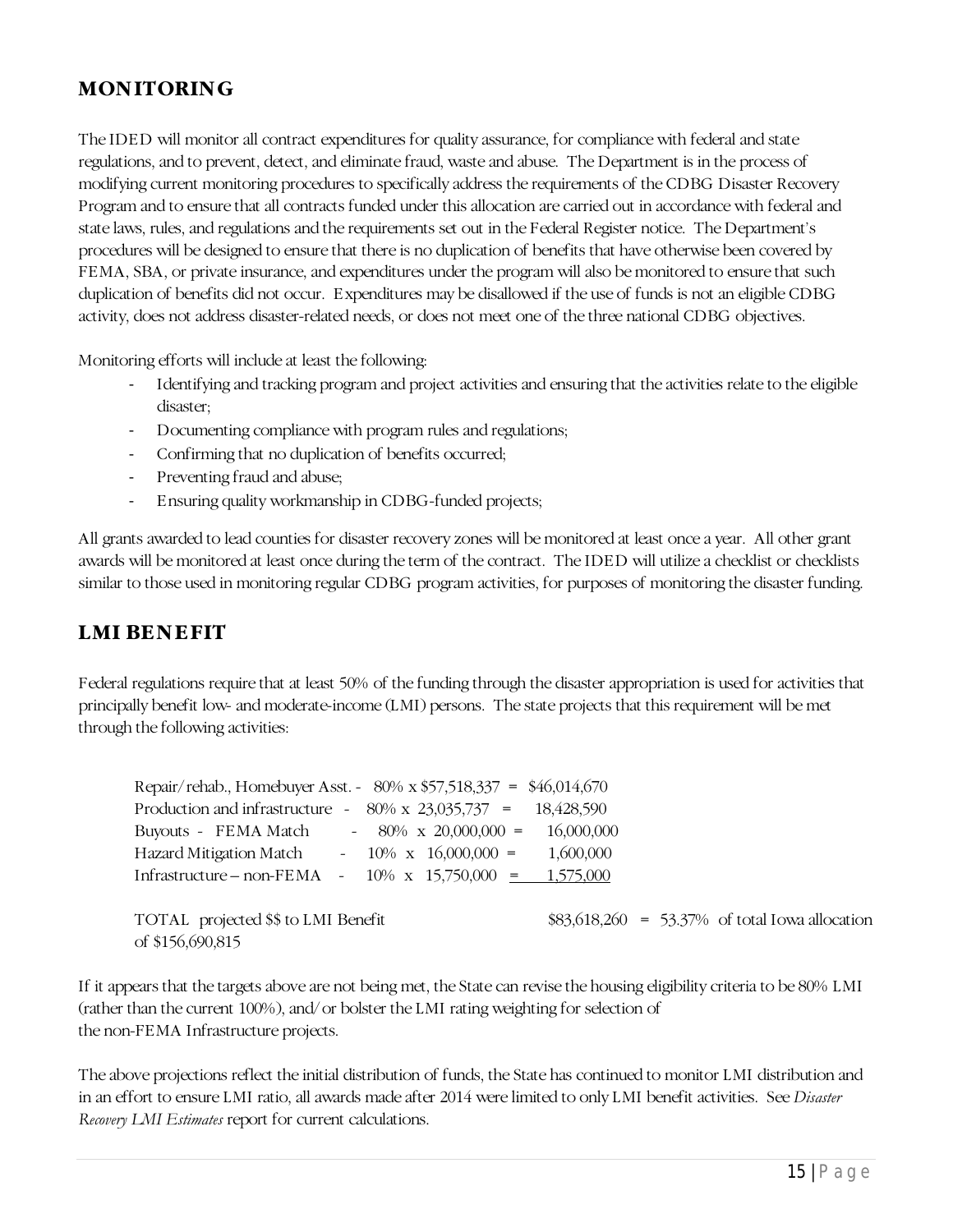# **MONITORING**

The IDED will monitor all contract expenditures for quality assurance, for compliance with federal and state regulations, and to prevent, detect, and eliminate fraud, waste and abuse. The Department is in the process of modifying current monitoring procedures to specifically address the requirements of the CDBG Disaster Recovery Program and to ensure that all contracts funded under this allocation are carried out in accordance with federal and state laws, rules, and regulations and the requirements set out in the Federal Register notice. The Department's procedures will be designed to ensure that there is no duplication of benefits that have otherwise been covered by FEMA, SBA, or private insurance, and expenditures under the program will also be monitored to ensure that such duplication of benefits did not occur. Expenditures may be disallowed if the use of funds is not an eligible CDBG activity, does not address disaster-related needs, or does not meet one of the three national CDBG objectives.

Monitoring efforts will include at least the following:

- Identifying and tracking program and project activities and ensuring that the activities relate to the eligible disaster;
- Documenting compliance with program rules and regulations;
- Confirming that no duplication of benefits occurred;
- Preventing fraud and abuse;
- Ensuring quality workmanship in CDBG-funded projects;

All grants awarded to lead counties for disaster recovery zones will be monitored at least once a year. All other grant awards will be monitored at least once during the term of the contract. The IDED will utilize a checklist or checklists similar to those used in monitoring regular CDBG program activities, for purposes of monitoring the disaster funding.

## **LMI BENEFIT**

Federal regulations require that at least 50% of the funding through the disaster appropriation is used for activities that principally benefit low- and moderate-income (LMI) persons. The state projects that this requirement will be met through the following activities:

| Repair/rehab., Homebuyer Asst. - $80\% \times $57,518,337 = $46,014,670$ |
|--------------------------------------------------------------------------|
| Production and infrastructure - $80\% \times 23,035,737 = 18,428,590$    |
| $-80\% \times 20,000,000 = 16,000,000$                                   |
| $-10\% \times 16,000,000 = 1,600,000$                                    |
| Infrastructure – non-FEMA - $10\%$ x $15,750,000$ = $1,575,000$          |
|                                                                          |
| $$83,618,260 = 53.37\% \text{ of total Iowa allocation}$                 |
|                                                                          |
|                                                                          |

If it appears that the targets above are not being met, the State can revise the housing eligibility criteria to be 80% LMI (rather than the current 100%), and/or bolster the LMI rating weighting for selection of the non-FEMA Infrastructure projects.

The above projections reflect the initial distribution of funds, the State has continued to monitor LMI distribution and in an effort to ensure LMI ratio, all awards made after 2014 were limited to only LMI benefit activities. See *Disaster Recovery LMI Estimates* report for current calculations.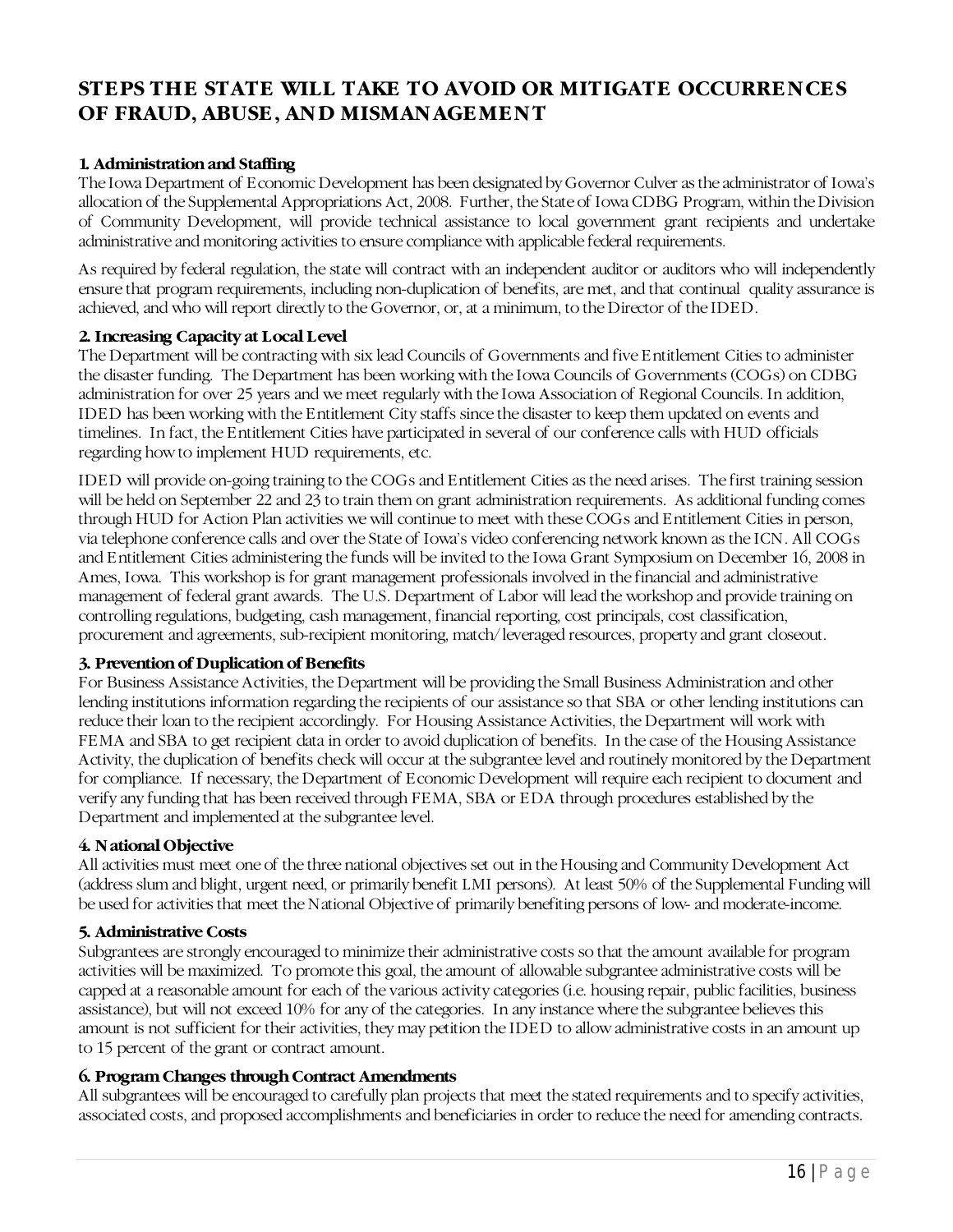## <span id="page-18-0"></span>**STEPS THE STATE WILL TAKE TO AVOID OR MITIGATE OCCURRENCES OF FRAUD, ABUSE, AND MISMANAGEMENT**

#### <span id="page-18-1"></span>**1. Administration and Staffing**

The Iowa Department of Economic Development has been designated by Governor Culver as the administrator of Iowa's allocation of the Supplemental Appropriations Act, 2008. Further, the State of Iowa CDBG Program, within the Division of Community Development, will provide technical assistance to local government grant recipients and undertake administrative and monitoring activities to ensure compliance with applicable federal requirements.

As required by federal regulation, the state will contract with an independent auditor or auditors who will independently ensure that program requirements, including non-duplication of benefits, are met, and that continual quality assurance is achieved, and who will report directly to the Governor, or, at a minimum, to the Director of the IDED.

#### **2. Increasing Capacity at Local Level**

The Department will be contracting with six lead Councils of Governments and five Entitlement Cities to administer the disaster funding. The Department has been working with the Iowa Councils of Governments (COGs) on CDBG administration for over 25 years and we meet regularly with the Iowa Association of Regional Councils. In addition, IDED has been working with the Entitlement City staffs since the disaster to keep them updated on events and timelines. In fact, the Entitlement Cities have participated in several of our conference calls with HUD officials regarding how to implement HUD requirements, etc.

IDED will provide on-going training to the COGs and Entitlement Cities as the need arises. The first training session will be held on September 22 and 23 to train them on grant administration requirements. As additional funding comes through HUD for Action Plan activities we will continue to meet with these COGs and Entitlement Cities in person, via telephone conference calls and over the State of Iowa's video conferencing network known as the ICN. All COGs and Entitlement Cities administering the funds will be invited to the Iowa Grant Symposium on December 16, 2008 in Ames, Iowa. This workshop is for grant management professionals involved in the financial and administrative management of federal grant awards. The U.S. Department of Labor will lead the workshop and provide training on controlling regulations, budgeting, cash management, financial reporting, cost principals, cost classification, procurement and agreements, sub-recipient monitoring, match/leveraged resources, property and grant closeout.

#### **3. Prevention of Duplication of Benefits**

For Business Assistance Activities, the Department will be providing the Small Business Administration and other lending institutions information regarding the recipients of our assistance so that SBA or other lending institutions can reduce their loan to the recipient accordingly. For Housing Assistance Activities, the Department will work with FEMA and SBA to get recipient data in order to avoid duplication of benefits. In the case of the Housing Assistance Activity, the duplication of benefits check will occur at the subgrantee level and routinely monitored by the Department for compliance. If necessary, the Department of Economic Development will require each recipient to document and verify any funding that has been received through FEMA, SBA or EDA through procedures established by the Department and implemented at the subgrantee level.

#### <span id="page-18-2"></span>**4. National Objective**

All activities must meet one of the three national objectives set out in the Housing and Community Development Act (address slum and blight, urgent need, or primarily benefit LMI persons). At least 50% of the Supplemental Funding will be used for activities that meet the National Objective of primarily benefiting persons of low- and moderate-income.

#### <span id="page-18-3"></span>**5. Administrative Costs**

Subgrantees are strongly encouraged to minimize their administrative costs so that the amount available for program activities will be maximized. To promote this goal, the amount of allowable subgrantee administrative costs will be capped at a reasonable amount for each of the various activity categories (i.e. housing repair, public facilities, business assistance), but will not exceed 10% for any of the categories. In any instance where the subgrantee believes this amount is not sufficient for their activities, they may petition the IDED to allow administrative costs in an amount up to 15 percent of the grant or contract amount.

#### <span id="page-18-4"></span>**6. Program Changes through Contract Amendments**

All subgrantees will be encouraged to carefully plan projects that meet the stated requirements and to specify activities, associated costs, and proposed accomplishments and beneficiaries in order to reduce the need for amending contracts.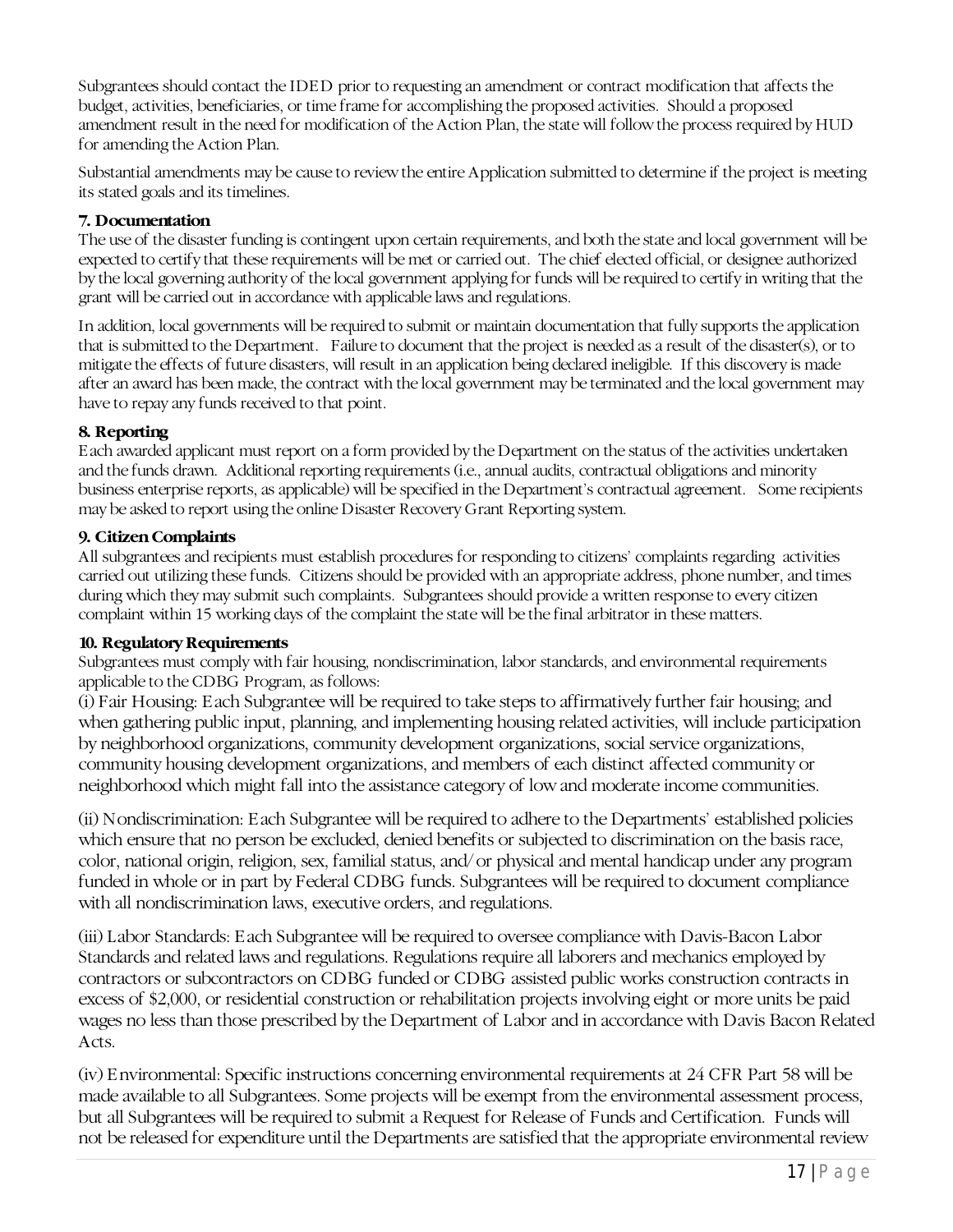Subgrantees should contact the IDED prior to requesting an amendment or contract modification that affects the budget, activities, beneficiaries, or time frame for accomplishing the proposed activities. Should a proposed amendment result in the need for modification of the Action Plan, the state will follow the process required by HUD for amending the Action Plan.

Substantial amendments may be cause to review the entire Application submitted to determine if the project is meeting its stated goals and its timelines.

#### <span id="page-19-0"></span>**7. Documentation**

The use of the disaster funding is contingent upon certain requirements, and both the state and local government will be expected to certify that these requirements will be met or carried out. The chief elected official, or designee authorized by the local governing authority of the local government applying for funds will be required to certify in writing that the grant will be carried out in accordance with applicable laws and regulations.

In addition, local governments will be required to submit or maintain documentation that fully supports the application that is submitted to the Department. Failure to document that the project is needed as a result of the disaster(s), or to mitigate the effects of future disasters, will result in an application being declared ineligible. If this discovery is made after an award has been made, the contract with the local government may be terminated and the local government may have to repay any funds received to that point.

## <span id="page-19-1"></span>**8. Reporting**

Each awarded applicant must report on a form provided by the Department on the status of the activities undertaken and the funds drawn. Additional reporting requirements (i.e., annual audits, contractual obligations and minority business enterprise reports, as applicable) will be specified in the Department's contractual agreement. Some recipients may be asked to report using the online Disaster Recovery Grant Reporting system.

#### <span id="page-19-2"></span>**9. Citizen Complaints**

All subgrantees and recipients must establish procedures for responding to citizens' complaints regarding activities carried out utilizing these funds. Citizens should be provided with an appropriate address, phone number, and times during which they may submit such complaints. Subgrantees should provide a written response to every citizen complaint within 15 working days of the complaint the state will be the final arbitrator in these matters.

#### <span id="page-19-3"></span>**10. Regulatory Requirements**

Subgrantees must comply with fair housing, nondiscrimination, labor standards, and environmental requirements applicable to the CDBG Program, as follows:

(i) Fair Housing: Each Subgrantee will be required to take steps to affirmatively further fair housing; and when gathering public input, planning, and implementing housing related activities, will include participation by neighborhood organizations, community development organizations, social service organizations, community housing development organizations, and members of each distinct affected community or neighborhood which might fall into the assistance category of low and moderate income communities.

(ii) Nondiscrimination: Each Subgrantee will be required to adhere to the Departments' established policies which ensure that no person be excluded, denied benefits or subjected to discrimination on the basis race, color, national origin, religion, sex, familial status, and/or physical and mental handicap under any program funded in whole or in part by Federal CDBG funds. Subgrantees will be required to document compliance with all nondiscrimination laws, executive orders, and regulations.

(iii) Labor Standards: Each Subgrantee will be required to oversee compliance with Davis-Bacon Labor Standards and related laws and regulations. Regulations require all laborers and mechanics employed by contractors or subcontractors on CDBG funded or CDBG assisted public works construction contracts in excess of \$2,000, or residential construction or rehabilitation projects involving eight or more units be paid wages no less than those prescribed by the Department of Labor and in accordance with Davis Bacon Related Acts.

(iv) Environmental: Specific instructions concerning environmental requirements at 24 CFR Part 58 will be made available to all Subgrantees. Some projects will be exempt from the environmental assessment process, but all Subgrantees will be required to submit a Request for Release of Funds and Certification. Funds will not be released for expenditure until the Departments are satisfied that the appropriate environmental review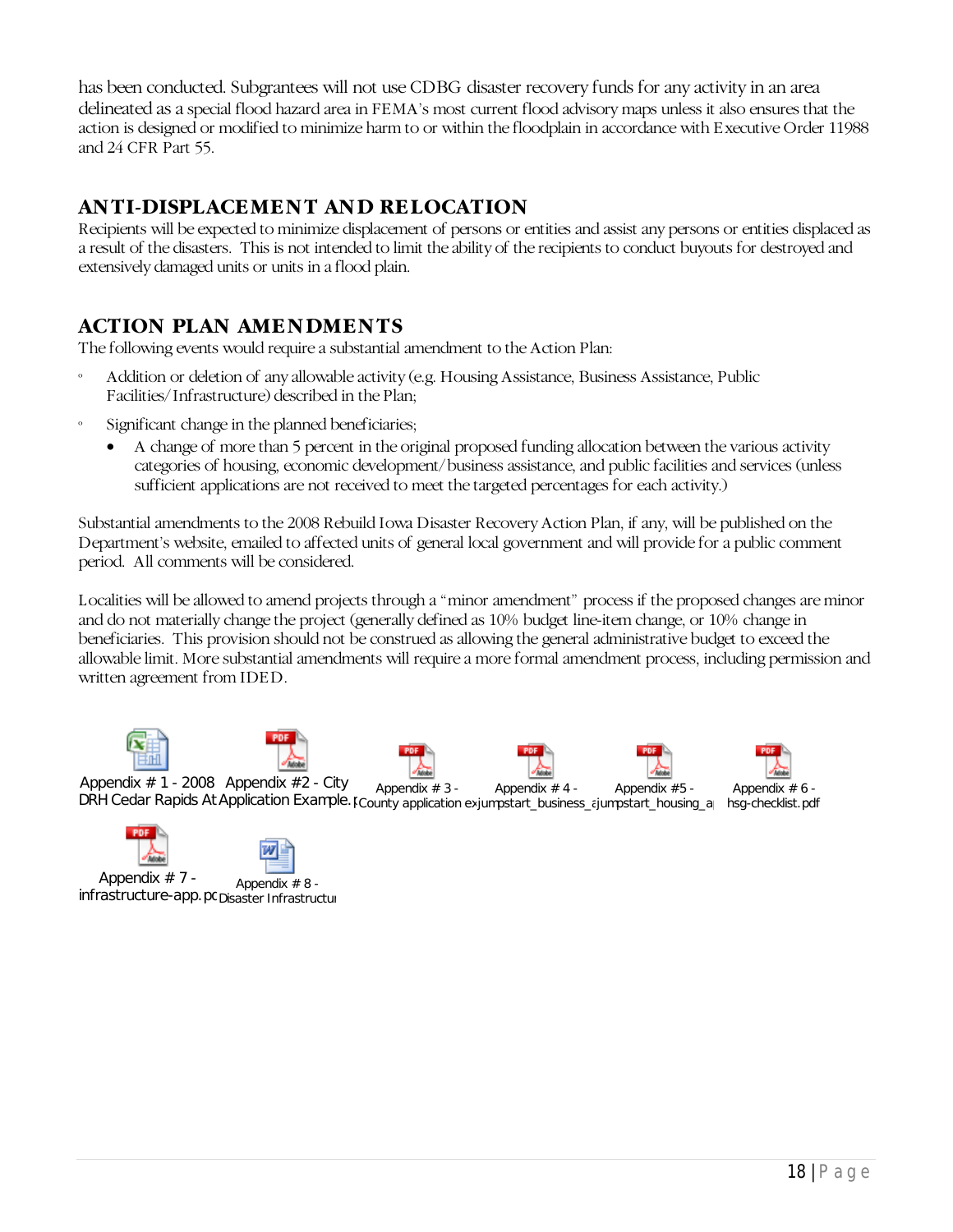has been conducted. Subgrantees will not use CDBG disaster recovery funds for any activity in an area delineated as a special flood hazard area in FEMA's most current flood advisory maps unless it also ensures that the action is designed or modified to minimize harm to or within the floodplain in accordance with Executive Order 11988 and 24 CFR Part 55.

# <span id="page-20-0"></span>**ANTI-DISPLACEMENT AND RELOCATION**

Recipients will be expected to minimize displacement of persons or entities and assist any persons or entities displaced as a result of the disasters. This is not intended to limit the ability of the recipients to conduct buyouts for destroyed and extensively damaged units or units in a flood plain.

# <span id="page-20-1"></span>**ACTION PLAN AMENDMENTS**

The following events would require a substantial amendment to the Action Plan:

- Addition or deletion of any allowable activity (e.g. Housing Assistance, Business Assistance, Public Facilities/Infrastructure) described in the Plan;
- Significant change in the planned beneficiaries;
	- A change of more than 5 percent in the original proposed funding allocation between the various activity categories of housing, economic development/business assistance, and public facilities and services (unless sufficient applications are not received to meet the targeted percentages for each activity.)

Substantial amendments to the 2008 Rebuild Iowa Disaster Recovery Action Plan, if any, will be published on the Department's website, emailed to affected units of general local government and will provide for a public comment period. All comments will be considered.

Localities will be allowed to amend projects through a "minor amendment" process if the proposed changes are minor and do not materially change the project (generally defined as 10% budget line-item change, or 10% change in beneficiaries. This provision should not be construed as allowing the general administrative budget to exceed the allowable limit. More substantial amendments will require a more formal amendment process, including permission and written agreement from IDED.



Appendix # 1 - 2008 Appendix #2 - City Apperidix # 1 - 2000 Apperidix # 2 - City Appendix # 3 - Appendix # 4 - Appendix # 5 - Appendix # 6 -<br>DRH Cedar Rapids At Application Example. [County application exjumpstart\_business\_cjumpstart\_housing\_a | hsg-checklist.p Appendix # 4 - Appendix #5 - Appendix  $# 6 -$ 





Appendix # 7 - Appendix # 7 - Appendix # 8 -<br>infrastructure-app.pc<sub>Disaster</sub> Infrastructur

18 | Page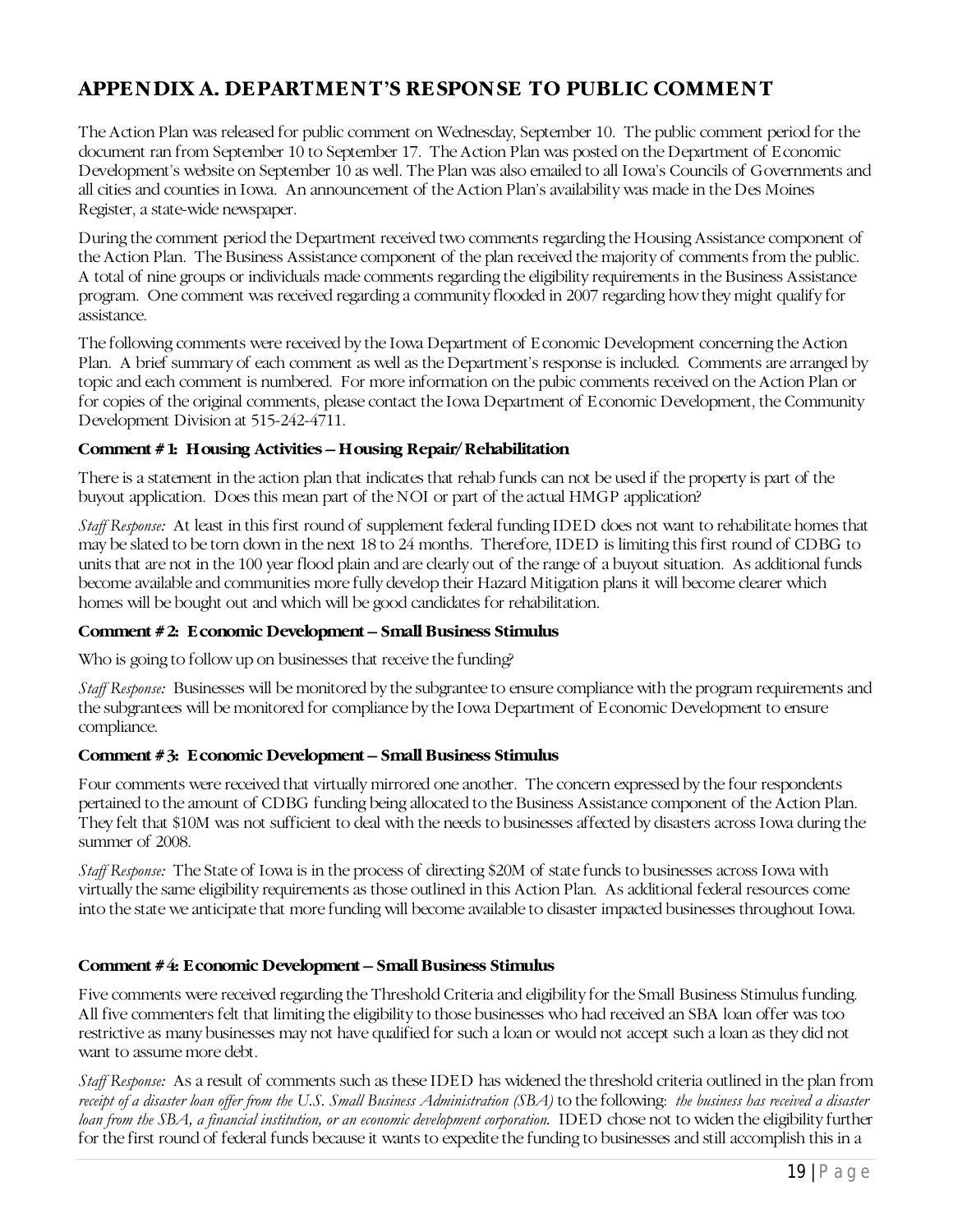# <span id="page-21-0"></span>**APPENDIX A. DEPARTMENT'S RESPONSE TO PUBLIC COMMENT**

The Action Plan was released for public comment on Wednesday, September 10. The public comment period for the document ran from September 10 to September 17. The Action Plan was posted on the Department of Economic Development's website on September 10 as well. The Plan was also emailed to all Iowa's Councils of Governments and all cities and counties in Iowa. An announcement of the Action Plan's availability was made in the Des Moines Register, a state-wide newspaper.

During the comment period the Department received two comments regarding the Housing Assistance component of the Action Plan. The Business Assistance component of the plan received the majority of comments from the public. A total of nine groups or individuals made comments regarding the eligibility requirements in the Business Assistance program. One comment was received regarding a community flooded in 2007 regarding how they might qualify for assistance.

The following comments were received by the Iowa Department of Economic Development concerning the Action Plan. A brief summary of each comment as well as the Department's response is included. Comments are arranged by topic and each comment is numbered. For more information on the pubic comments received on the Action Plan or for copies of the original comments, please contact the Iowa Department of Economic Development, the Community Development Division at 515-242-4711.

#### **Comment #1: Housing Activities – Housing Repair/Rehabilitation**

There is a statement in the action plan that indicates that rehab funds can not be used if the property is part of the buyout application. Does this mean part of the NOI or part of the actual HMGP application?

*Staff Response:* At least in this first round of supplement federal funding IDED does not want to rehabilitate homes that may be slated to be torn down in the next 18 to 24 months. Therefore, IDED is limiting this first round of CDBG to units that are not in the 100 year flood plain and are clearly out of the range of a buyout situation. As additional funds become available and communities more fully develop their Hazard Mitigation plans it will become clearer which homes will be bought out and which will be good candidates for rehabilitation.

#### **Comment #2: Economic Development – Small Business Stimulus**

Who is going to follow up on businesses that receive the funding?

*Staff Response:* Businesses will be monitored by the subgrantee to ensure compliance with the program requirements and the subgrantees will be monitored for compliance by the Iowa Department of Economic Development to ensure compliance.

#### **Comment #3: Economic Development – Small Business Stimulus**

Four comments were received that virtually mirrored one another. The concern expressed by the four respondents pertained to the amount of CDBG funding being allocated to the Business Assistance component of the Action Plan. They felt that \$10M was not sufficient to deal with the needs to businesses affected by disasters across Iowa during the summer of 2008.

*Staff Response:* The State of Iowa is in the process of directing \$20M of state funds to businesses across Iowa with virtually the same eligibility requirements as those outlined in this Action Plan. As additional federal resources come into the state we anticipate that more funding will become available to disaster impacted businesses throughout Iowa.

## **Comment #4: Economic Development – Small Business Stimulus**

Five comments were received regarding the Threshold Criteria and eligibility for the Small Business Stimulus funding. All five commenters felt that limiting the eligibility to those businesses who had received an SBA loan offer was too restrictive as many businesses may not have qualified for such a loan or would not accept such a loan as they did not want to assume more debt.

*Staff Response:* As a result of comments such as these IDED has widened the threshold criteria outlined in the plan from *receipt of a disaster loan offer from the U.S. Small Business Administration (SBA)* to the following: *the business has received a disaster loan from the SBA, a financial institution, or an economic development corporation.* IDED chose not to widen the eligibility further for the first round of federal funds because it wants to expedite the funding to businesses and still accomplish this in a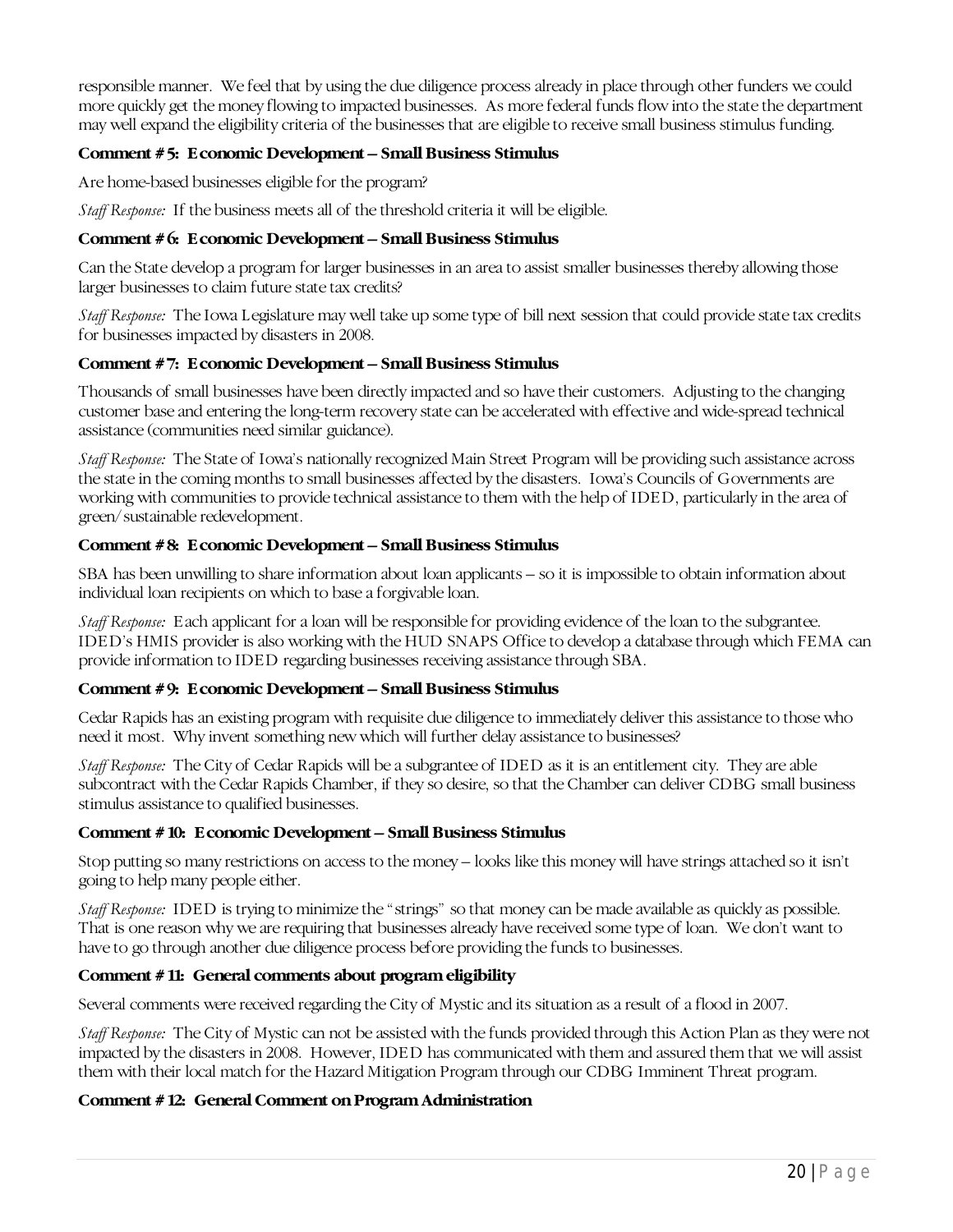responsible manner. We feel that by using the due diligence process already in place through other funders we could more quickly get the money flowing to impacted businesses. As more federal funds flow into the state the department may well expand the eligibility criteria of the businesses that are eligible to receive small business stimulus funding.

## **Comment #5: Economic Development – Small Business Stimulus**

Are home-based businesses eligible for the program?

*Staff Response:* If the business meets all of the threshold criteria it will be eligible.

## **Comment #6: Economic Development – Small Business Stimulus**

Can the State develop a program for larger businesses in an area to assist smaller businesses thereby allowing those larger businesses to claim future state tax credits?

*Staff Response:* The Iowa Legislature may well take up some type of bill next session that could provide state tax credits for businesses impacted by disasters in 2008.

#### **Comment #7: Economic Development – Small Business Stimulus**

Thousands of small businesses have been directly impacted and so have their customers. Adjusting to the changing customer base and entering the long-term recovery state can be accelerated with effective and wide-spread technical assistance (communities need similar guidance).

*Staff Response:* The State of Iowa's nationally recognized Main Street Program will be providing such assistance across the state in the coming months to small businesses affected by the disasters. Iowa's Councils of Governments are working with communities to provide technical assistance to them with the help of IDED, particularly in the area of green/sustainable redevelopment.

#### **Comment #8: Economic Development – Small Business Stimulus**

SBA has been unwilling to share information about loan applicants – so it is impossible to obtain information about individual loan recipients on which to base a forgivable loan.

*Staff Response:* Each applicant for a loan will be responsible for providing evidence of the loan to the subgrantee. IDED's HMIS provider is also working with the HUD SNAPS Office to develop a database through which FEMA can provide information to IDED regarding businesses receiving assistance through SBA.

#### **Comment #9: Economic Development – Small Business Stimulus**

Cedar Rapids has an existing program with requisite due diligence to immediately deliver this assistance to those who need it most. Why invent something new which will further delay assistance to businesses?

*Staff Response:* The City of Cedar Rapids will be a subgrantee of IDED as it is an entitlement city. They are able subcontract with the Cedar Rapids Chamber, if they so desire, so that the Chamber can deliver CDBG small business stimulus assistance to qualified businesses.

#### **Comment #10: Economic Development – Small Business Stimulus**

Stop putting so many restrictions on access to the money – looks like this money will have strings attached so it isn't going to help many people either.

*Staff Response:* IDED is trying to minimize the "strings" so that money can be made available as quickly as possible. That is one reason why we are requiring that businesses already have received some type of loan. We don't want to have to go through another due diligence process before providing the funds to businesses.

## **Comment #11: General comments about program eligibility**

Several comments were received regarding the City of Mystic and its situation as a result of a flood in 2007.

*Staff Response:* The City of Mystic can not be assisted with the funds provided through this Action Plan as they were not impacted by the disasters in 2008. However, IDED has communicated with them and assured them that we will assist them with their local match for the Hazard Mitigation Program through our CDBG Imminent Threat program.

#### **Comment #12: General Comment on Program Administration**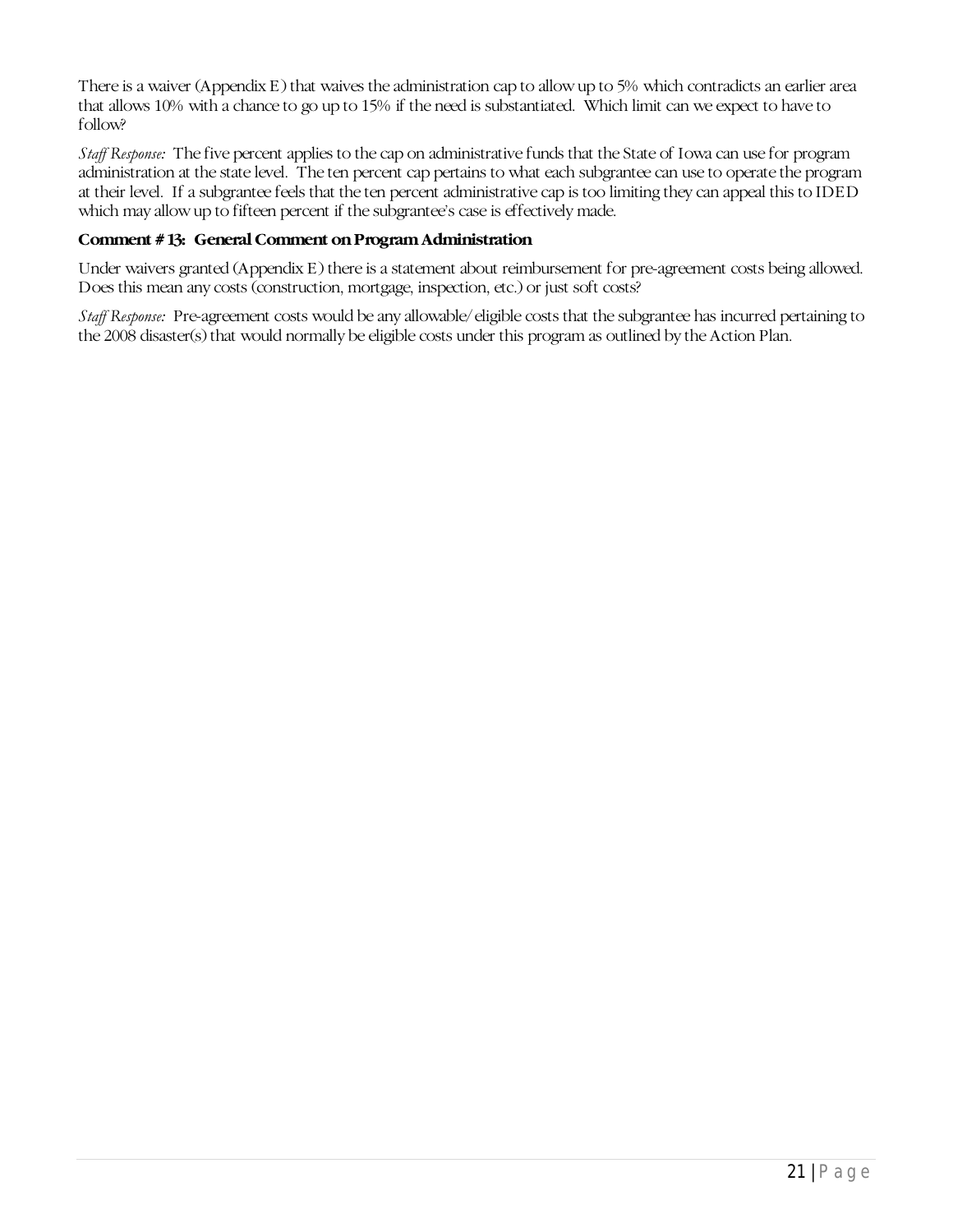There is a waiver (Appendix E) that waives the administration cap to allow up to 5% which contradicts an earlier area that allows 10% with a chance to go up to 15% if the need is substantiated. Which limit can we expect to have to follow?

*Staff Response:* The five percent applies to the cap on administrative funds that the State of Iowa can use for program administration at the state level. The ten percent cap pertains to what each subgrantee can use to operate the program at their level. If a subgrantee feels that the ten percent administrative cap is too limiting they can appeal this to IDED which may allow up to fifteen percent if the subgrantee's case is effectively made.

#### **Comment #13: General Comment on Program Administration**

Under waivers granted (Appendix E) there is a statement about reimbursement for pre-agreement costs being allowed. Does this mean any costs (construction, mortgage, inspection, etc.) or just soft costs?

*Staff Response:* Pre-agreement costs would be any allowable/eligible costs that the subgrantee has incurred pertaining to the 2008 disaster(s) that would normally be eligible costs under this program as outlined by the Action Plan.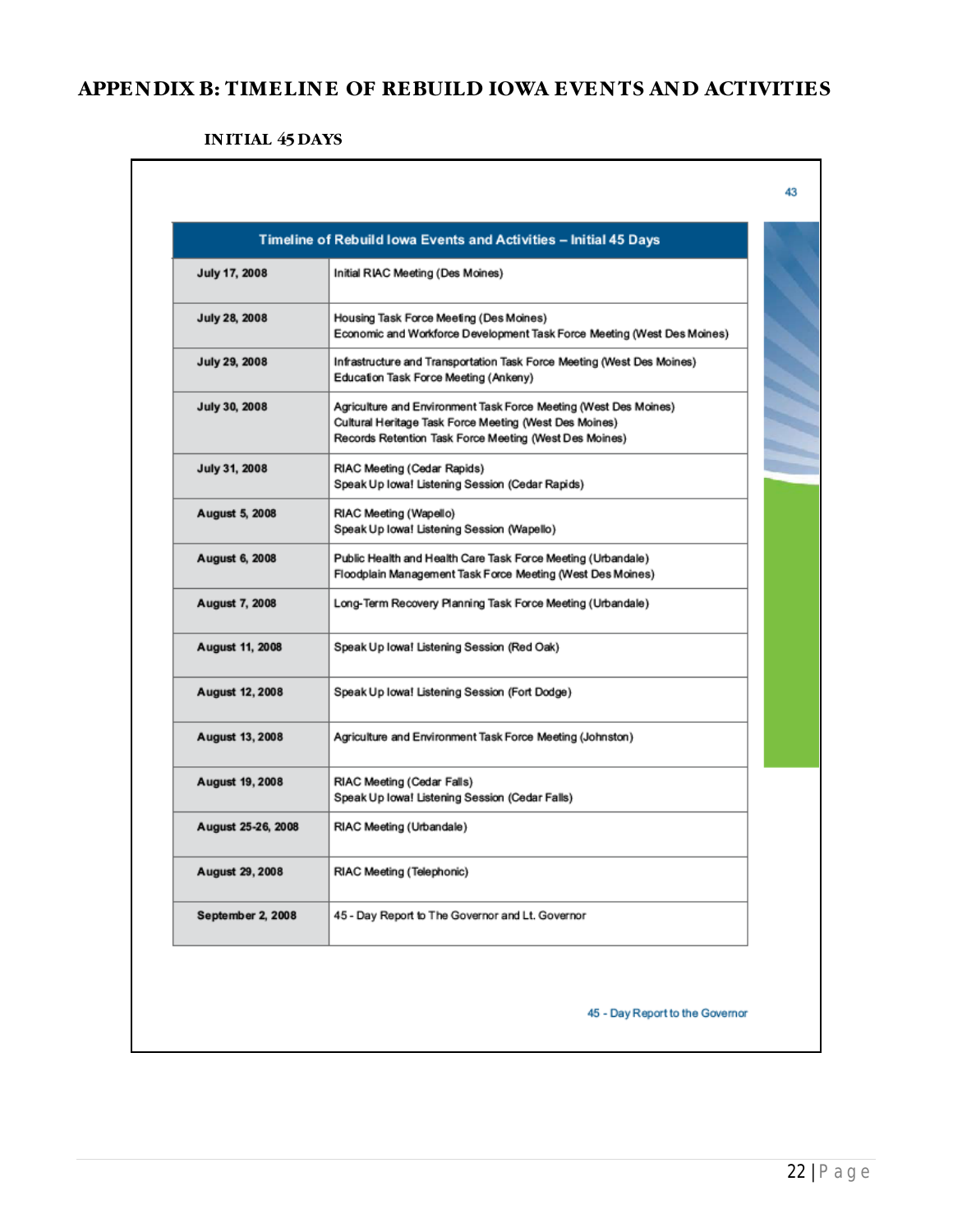# <span id="page-24-0"></span>**APPENDIX B: TIMELINE OF REBUILD IOWA EVENTS AND ACTIVITIES**

## **INITIAL 45 DAYS**

| July 17, 2008          | Initial RIAC Meeting (Des Moines)                                                                                                                                                    |
|------------------------|--------------------------------------------------------------------------------------------------------------------------------------------------------------------------------------|
| <b>July 28, 2008</b>   | Housing Task Force Meeting (Des Moines)<br>Economic and Workforce Development Task Force Meeting (West Des Moines)                                                                   |
| July 29, 2008          | Infrastructure and Transportation Task Force Meeting (West Des Moines)<br>Education Task Force Meeting (Ankeny)                                                                      |
| July 30, 2008          | Agriculture and Environment Task Force Meeting (West Des Moines)<br>Cultural Heritage Task Force Meeting (West Des Moines)<br>Records Retention Task Force Meeting (West Des Moines) |
| July 31, 2008          | RIAC Meeting (Cedar Rapids)<br>Speak Up Iowa! Listening Session (Cedar Rapids)                                                                                                       |
| August 5, 2008         | RIAC Meeting (Wapello)<br>Speak Up Iowa! Listening Session (Wapello)                                                                                                                 |
| August 6, 2008         | Public Health and Health Care Task Force Meeting (Urbandale)<br>Floodplain Management Task Force Meeting (West Des Moines)                                                           |
| <b>August 7, 2008</b>  | Long-Term Recovery Planning Task Force Meeting (Urbandale)                                                                                                                           |
| August 11, 2008        | Speak Up Iowa! Listening Session (Red Oak)                                                                                                                                           |
| <b>August 12, 2008</b> | Speak Up Iowa! Listening Session (Fort Dodge)                                                                                                                                        |
| <b>August 13, 2008</b> | Agriculture and Environment Task Force Meeting (Johnston)                                                                                                                            |
| August 19, 2008        | RIAC Meeting (Cedar Falls)<br>Speak Up Iowa! Listening Session (Cedar Falls)                                                                                                         |
| August 25-26, 2008     | RIAC Meeting (Urbandale)                                                                                                                                                             |
| August 29, 2008        | RIAC Meeting (Telephonic)                                                                                                                                                            |
| September 2, 2008      | 45 - Day Report to The Governor and Lt. Governor                                                                                                                                     |

 $\overline{\mathbf{I}}$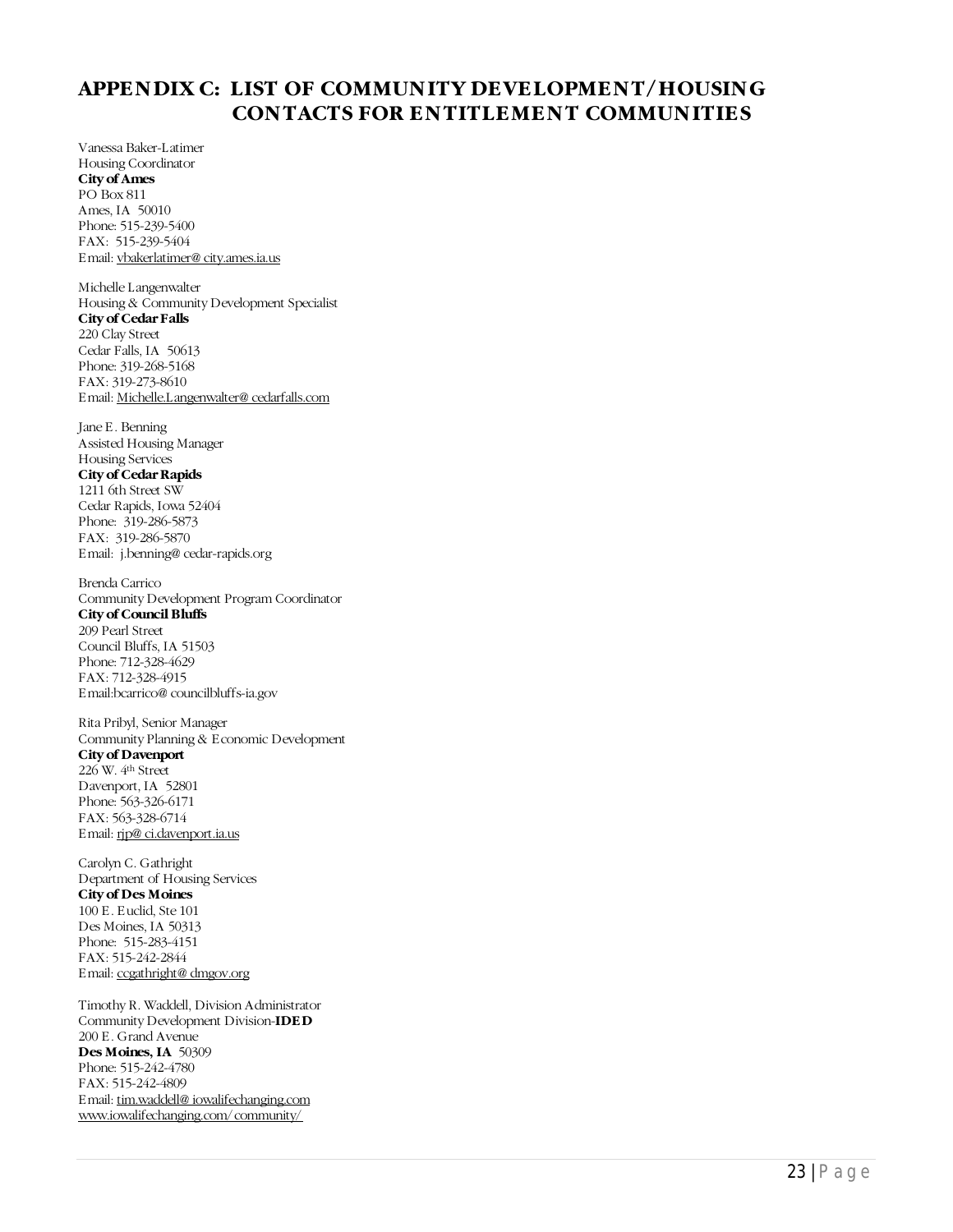## <span id="page-25-0"></span>**APPENDIX C: LIST OF COMMUNITY DEVELOPMENT/HOUSING CONTACTS FOR ENTITLEMENT COMMUNITIES**

Vanessa Baker-Latimer Housing Coordinator **City of Ames** PO Box 811 Ames, IA 50010 Phone: 515-239-5400 FAX: 515-239-5404 Email[: vbakerlatimer@ city.ames.ia.us](mailto:vbakerlatimere@city.ames.ia.us)

Michelle Langenwalter Housing & Community Development Specialist **City of Cedar Falls** 220 Clay Street Cedar Falls, IA 50613 Phone: 319-268-5168 FAX: 319-273-8610 Email[: Michelle.Langenwalter@ cedarfalls.com](mailto:Michelle.Langenwalter@cedarfalls.com)

Jane E. Benning Assisted Housing Manager Housing Services

#### **City of Cedar Rapids**

1211 6th Street SW Cedar Rapids, Iowa 52404 Phone: 319-286-5873 FAX: 319-286-5870 Email: j.benning@ cedar-rapids.org

Brenda Carrico Community Development Program Coordinator **City of Council Bluffs** 209 Pearl Street Council Bluffs, IA 51503 Phone: 712-328-4629 FAX: 712-328-4915 Email:bcarrico@ councilbluffs-ia.gov

Rita Pribyl, Senior Manager Community Planning & Economic Development **City of Davenport**

226 W. 4th Street Davenport, IA 52801 Phone: 563-326-6171 FAX: 563-328-6714 Email[: rjp@ ci.davenport.ia.us](mailto:rjp@ci.davenport.ia.us)

Carolyn C. Gathright Department of Housing Services **City of Des Moines** 100 E. Euclid, Ste 101 Des Moines, IA 50313 Phone: 515-283-4151 FAX: 515-242-2844 Email[: ccgathright@ dmgov.org](mailto:ccgathright@dmgov.org)

Timothy R. Waddell, Division Administrator Community Development Division-**IDED** 200 E. Grand Avenue **Des Moines, IA** 50309 Phone: 515-242-4780 FAX: 515-242-4809 Email[: tim.waddell@ iowalifechanging.com](mailto:timothy.waddell@iowalifechanging.com) [www.iowalifechanging.com/community/](http://www.iowalifechanging.com/community/)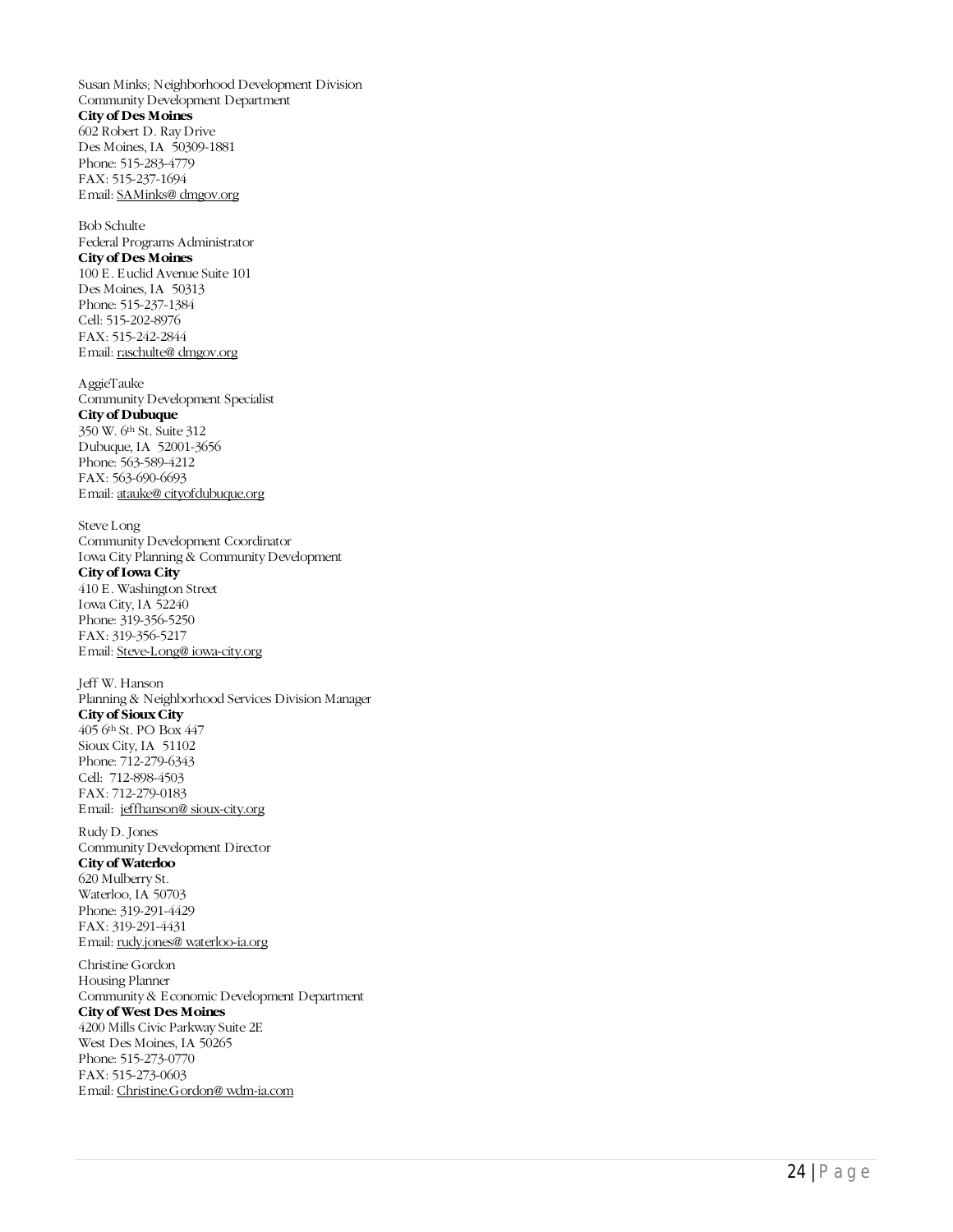Susan Minks; Neighborhood Development Division Community Development Department **City of Des Moines** 602 Robert D. Ray Drive Des Moines, IA 50309-1881 Phone: 515 -283 -4779 FAX: 515 -237 -1694 Email[: SAMinks@ dmgov.org](mailto:SAMinks@dmgov.org) Bob Schulte Federal Programs Administrator

**City of Des Moines** 100 E. Euclid Avenue Suite 101 Des Moines, IA 50313 Phone: 515 -237 -1384 Cell: 515 -202 -8976 FAX: 515 -242 -2844 Email[: raschulte@ dmgov.org](mailto:raschulte@dmgov.org)

AggieTauke Community Development Specialist **City of Dubuque** 350 W. 6th St. Suite 312 Dubuque, IA 52001 -3656 Phone: 563 -589 -4212 FAX: 563 -690 -6693 Email[: atauke@ cityofdubuque.org](mailto:atauke@cityofdubuque.org)

Steve Long Community Development Coordinator Iowa City Planning & Community Development **City of Iowa City** 410 E. Washington Street Iowa City, IA 52240 Phone: 319 -356 -5250 FAX: 319 -356 -5217 Email[: Steve-Long@ iowa-city.org](mailto:Steve-Long@iowa-city.org)

Jeff W. Hanson Planning & Neighborhood Services Division Manager **City of Sioux City** 405 6th St. PO Box 447 Sioux City, IA 51102 Phone: 712 -279 -6343 Cell: 712-898-4503 FAX: 712 -279 -0183 Email: [jeffhanson@ sioux-city.org](mailto:jeffhanson@sioux-city.org) Rudy D. Jones

Community Development Director **City of Waterloo** 620 Mulberry St. Waterloo, IA 50703 Phone: 319 -291 -4429 FAX: 319-291-4431 Email: <u>rudy.jones@ waterloo-ia.org</u>

Christine Gordon Housing Planner Community & Economic Development Department **City of West Des Moines** 4200 Mills Civic Parkway Suite 2E West Des Moines, IA 50265 Phone: 515 -273 -0770 FAX: 515 -273 -0603

Email[: Christine.Gordon@ wdm-ia.com](mailto:Christine.Gordon@wdm-ia.com)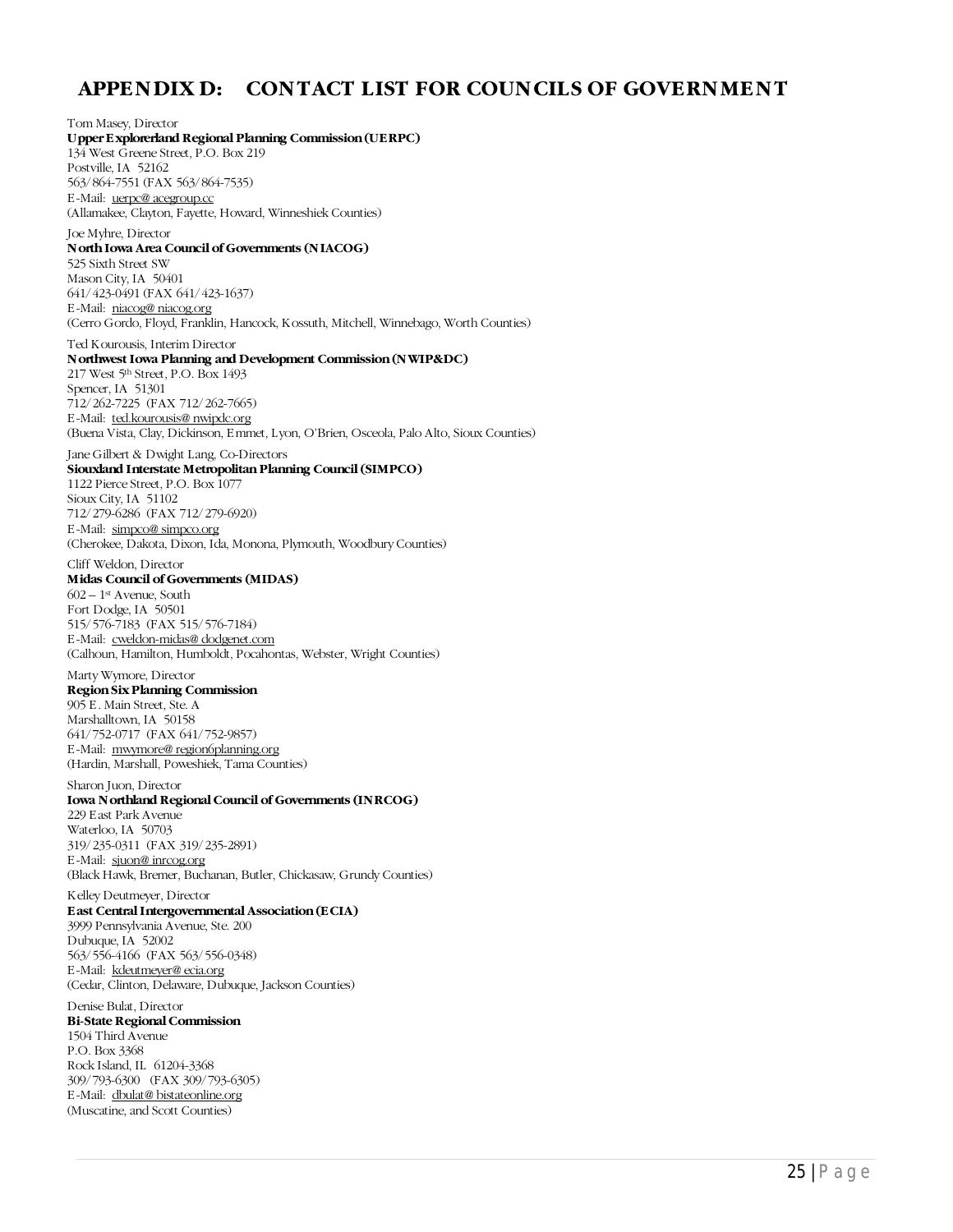## <span id="page-27-0"></span>**APPENDIX D: CONTACT LIST FOR COUNCILS OF GOVERNMENT**

Tom Masey, Director **Upper Explorerland Regional Planning Commission(UERPC)** 134 West Greene Street, P.O. Box 219 Postville, IA 52162 563/864-7551 (FAX 563/864-7535) E-Mail: [uerpc@ acegroup.cc](mailto:uerpc@acegroup.cc) (Allamakee, Clayton, Fayette, Howard, Winneshiek Counties) Joe Myhre, Director **North Iowa Area Council of Governments (NIACOG)** 525 Sixth Street SW Mason City, IA 50401 641/423-0491 (FAX 641/423-1637) E-Mail: [niacog@ niacog.org](mailto:niacog@niacog.org) (Cerro Gordo, Floyd, Franklin, Hancock, Kossuth, Mitchell, Winnebago, Worth Counties) Ted Kourousis, Interim Director **Northwest Iowa Planning and Development Commission(NWIP&DC)** 217 West 5th Street, P.O. Box 1493 Spencer, IA 51301 712/262-7225 (FAX 712/262-7665) E-Mail: [ted.kourousis@ nwipdc.org](mailto:ted.kourousis@nwipdc.org) (Buena Vista, Clay, Dickinson, Emmet, Lyon, O'Brien, Osceola, Palo Alto, Sioux Counties) Jane Gilbert & Dwight Lang, Co-Directors **Siouxland Interstate Metropolitan Planning Council (SIMPCO)** 1122 Pierce Street, P.O. Box 1077 Sioux City, IA 51102 712/279-6286 (FAX 712/279-6920) E-Mail: [simpco@ simpco.org](mailto:simpco@simpco.org) (Cherokee, Dakota, Dixon, Ida, Monona, Plymouth, Woodbury Counties) Cliff Weldon, Director **Midas Council of Governments (MIDAS)**  $602 - 1$ <sup>st</sup> Avenue, South Fort Dodge, IA 50501 515/576-7183 (FAX 515/576-7184) E-Mail: [cweldon-midas@ dodgenet.com](mailto:cweldon-midas@dodgenet.com) (Calhoun, Hamilton, Humboldt, Pocahontas, Webster, Wright Counties) Marty Wymore, Director **Region Six Planning Commission** 905 E. Main Street, Ste. A Marshalltown, IA 50158 641/752-0717 (FAX 641/752-9857) E-Mail: [mwymore@ region6planning.org](mailto:mwymore@region6planning.org) (Hardin, Marshall, Poweshiek, Tama Counties) Sharon Juon, Director **Iowa Northland Regional Council of Governments (INRCOG)** 229 East Park Avenue Waterloo, IA 50703 319/235-0311 (FAX 319/235-2891) E-Mail: [sjuon@ inrcog.org](mailto:sjuon@inrcog.org) (Black Hawk, Bremer, Buchanan, Butler, Chickasaw, Grundy Counties) Kelley Deutmeyer, Director **East Central Intergovernmental Association (ECIA)** 3999 Pennsylvania Avenue, Ste. 200 Dubuque, IA 52002 563/556-4166 (FAX 563/556-0348) E-Mail: [kdeutmeyer@ ecia.org](mailto:kdeutmeyer@ecia.org) (Cedar, Clinton, Delaware, Dubuque, Jackson Counties) Denise Bulat, Director **Bi-State Regional Commission** 1504 Third Avenue P.O. Box 3368 Rock Island, IL 61204-3368 309/793-6300 (FAX 309/793-6305)

(Muscatine, and Scott Counties)

E-Mail: [dbulat@ bistateonline.org](mailto:dbulat@bistateonline.org)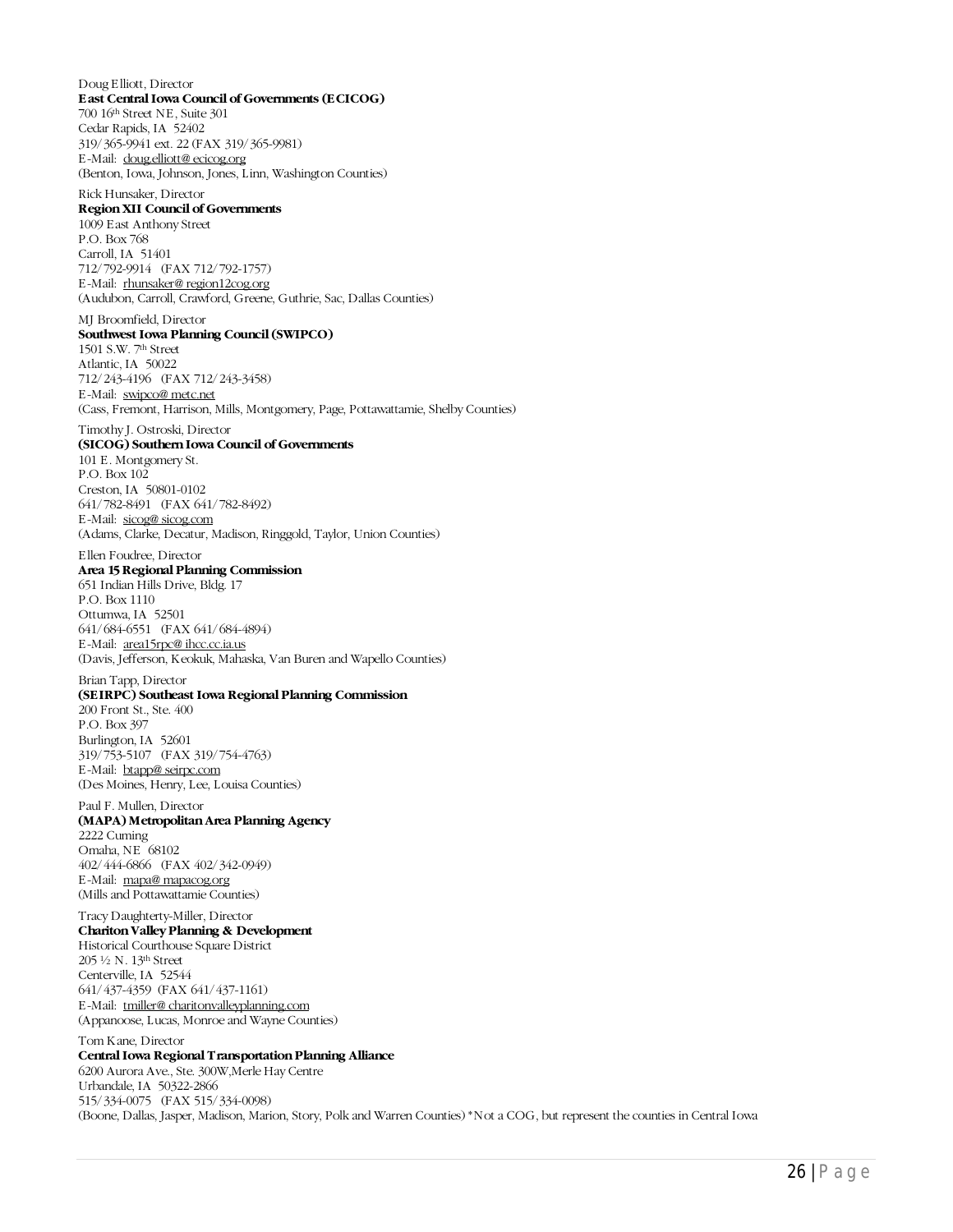#### Doug Elliott, Director **East Central Iowa Council of Governments (ECICOG)**

700 16th Street NE, Suite 301 Cedar Rapids, IA 52402 319/365-9941 ext. 22 (FAX 319/365-9981) E-Mail: [doug.elliott@ ecicog.org](mailto:doug.elliott@ecicog.org) (Benton, Iowa, Johnson, Jones, Linn, Washington Counties)

#### Rick Hunsaker, Director

#### **Region XII Council of Governments**

1009 East Anthony Street P.O. Box 768 Carroll, IA 51401 712/792-9914 (FAX 712/792-1757) E-Mail: [rhunsaker@ region12cog.org](mailto:rhunsaker@region12cog.org) (Audubon, Carroll, Crawford, Greene, Guthrie, Sac, Dallas Counties)

#### MJ Broomfield, Director **Southwest Iowa Planning Council (SWIPCO)**

1501 S.W. 7th Street Atlantic, IA 50022 712/243-4196 (FAX 712/243-3458) E-Mail: [swipco@ metc.net](mailto:swipco@metc.net) (Cass, Fremont, Harrison, Mills, Montgomery, Page, Pottawattamie, Shelby Counties)

#### Timothy J. Ostroski, Director

#### **(SICOG) Southern Iowa Council of Governments**

101 E. Montgomery St. P.O. Box 102 Creston, IA 50801-0102 641/782-8491 (FAX 641/782-8492) E-Mail: [sicog@ sicog.com](mailto:sicog@sicog.com) (Adams, Clarke, Decatur, Madison, Ringgold, Taylor, Union Counties)

#### Ellen Foudree, Director

**Area 15 Regional Planning Commission** 651 Indian Hills Drive, Bldg. 17 P.O. Box 1110 Ottumwa, IA 52501 641/684-6551 (FAX 641/684-4894) E-Mail: [area15rpc@ ihcc.cc.ia.us](mailto:area15rpc@ihcc.cc.ia.us) (Davis, Jefferson, Keokuk, Mahaska, Van Buren and Wapello Counties)

#### Brian Tapp, Director

**(SEIRPC) Southeast Iowa Regional Planning Commission**

200 Front St., Ste. 400 P.O. Box 397 Burlington, IA 52601 319/753-5107 (FAX 319/754-4763) E-Mail: [btapp@ seirpc.com](mailto:btapp@seirpc.com) (Des Moines, Henry, Lee, Louisa Counties)

#### Paul F. Mullen, Director **(MAPA) Metropolitan Area Planning Agency**

2222 Cuming Omaha, NE 68102 402/444-6866 (FAX 402/342-0949) E-Mail: [mapa@ mapacog.org](mailto:mapa@mapacog.org) (Mills and Pottawattamie Counties)

#### Tracy Daughterty-Miller, Director **Chariton Valley Planning & Development**

Historical Courthouse Square District 205 ½ N. 13th Street Centerville, IA 52544 641/437-4359 (FAX 641/437-1161) E-Mail: [tmiller@ charitonvalleyplanning.com](mailto:tmiller@charitonvalleyplanning.com) (Appanoose, Lucas, Monroe and Wayne Counties)

#### Tom Kane, Director **Central Iowa Regional Transportation Planning Alliance**

6200 Aurora Ave., Ste. 300W,Merle Hay Centre Urbandale, IA 50322-2866 515/334-0075 (FAX 515/334-0098) (Boone, Dallas, Jasper, Madison, Marion, Story, Polk and Warren Counties) \*Not a COG, but represent the counties in Central Iowa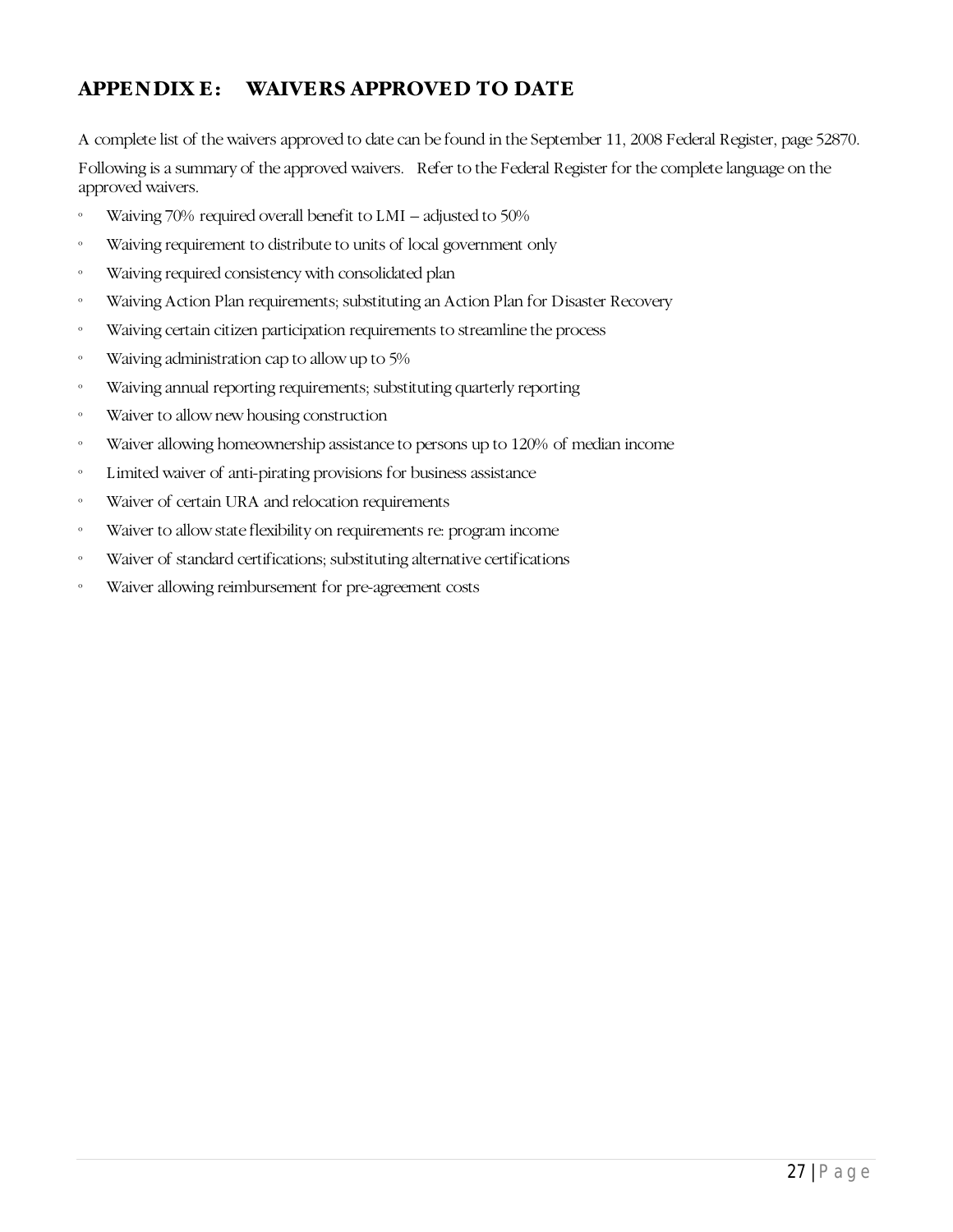## <span id="page-29-0"></span>**APPENDIX E: WAIVERS APPROVED TO DATE**

A complete list of the waivers approved to date can be found in the September 11, 2008 Federal Register, page 52870.

Following is a summary of the approved waivers. Refer to the Federal Register for the complete language on the approved waivers.

- º Waiving 70% required overall benefit to LMI adjusted to 50%
- º Waiving requirement to distribute to units of local government only
- º Waiving required consistency with consolidated plan
- º Waiving Action Plan requirements; substituting an Action Plan for Disaster Recovery
- º Waiving certain citizen participation requirements to streamline the process
- º Waiving administration cap to allow up to 5%
- º Waiving annual reporting requirements; substituting quarterly reporting
- º Waiver to allow new housing construction
- º Waiver allowing homeownership assistance to persons up to 120% of median income
- º Limited waiver of anti-pirating provisions for business assistance
- º Waiver of certain URA and relocation requirements
- º Waiver to allow state flexibility on requirements re: program income
- º Waiver of standard certifications; substituting alternative certifications
- º Waiver allowing reimbursement for pre-agreement costs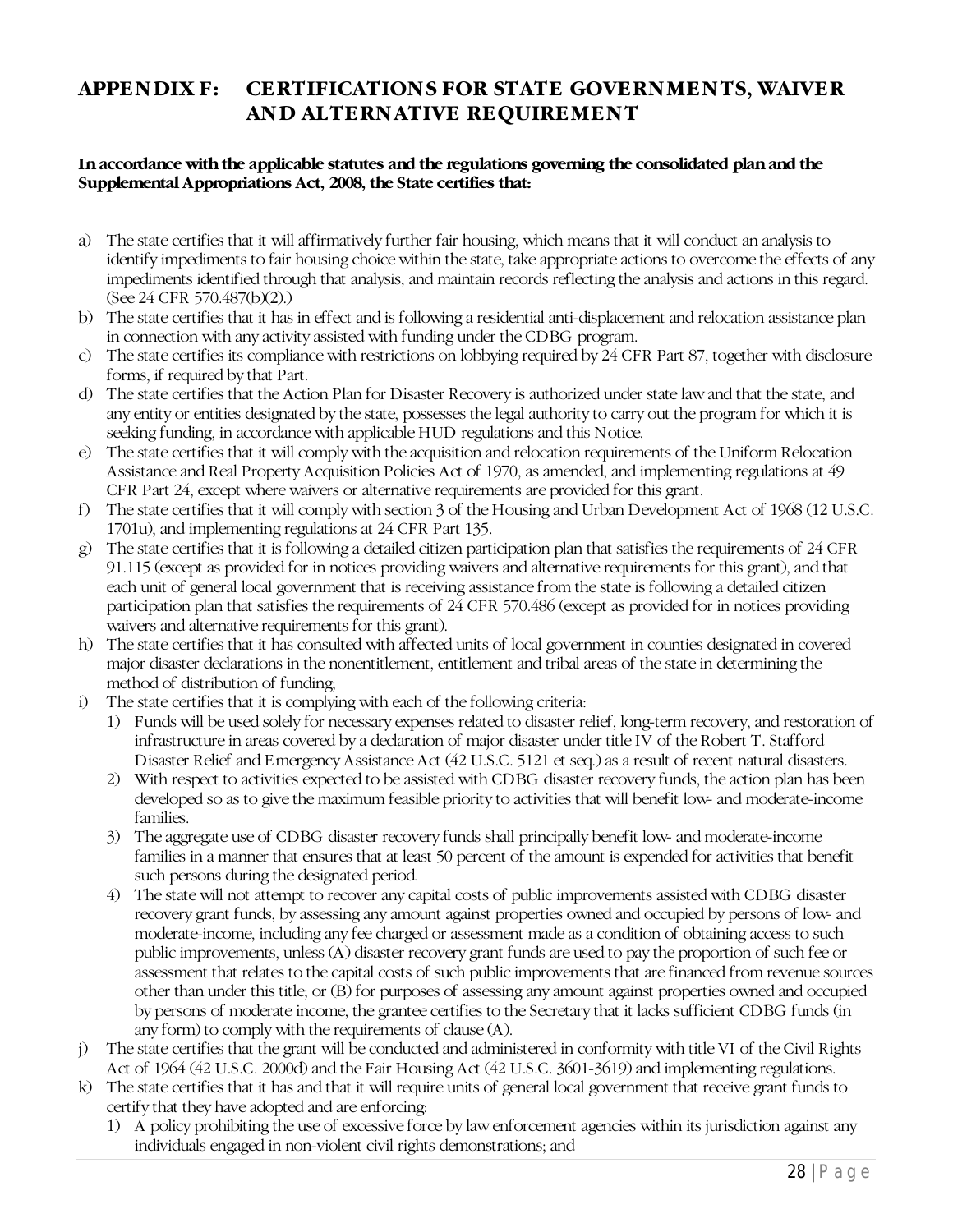## <span id="page-30-0"></span>**APPENDIX F: CERTIFICATIONS FOR STATE GOVERNMENTS, WAIVER AND ALTERNATIVE REQUIREMENT**

#### **In accordance with the applicable statutes and the regulations governing the consolidated plan and the Supplemental Appropriations Act, 2008, the State certifies that:**

- a) The state certifies that it will affirmatively further fair housing, which means that it will conduct an analysis to identify impediments to fair housing choice within the state, take appropriate actions to overcome the effects of any impediments identified through that analysis, and maintain records reflecting the analysis and actions in this regard. (See 24 CFR 570.487(b)(2).)
- b) The state certifies that it has in effect and is following a residential anti-displacement and relocation assistance plan in connection with any activity assisted with funding under the CDBG program.
- c) The state certifies its compliance with restrictions on lobbying required by 24 CFR Part 87, together with disclosure forms, if required by that Part.
- d) The state certifies that the Action Plan for Disaster Recovery is authorized under state law and that the state, and any entity or entities designated by the state, possesses the legal authority to carry out the program for which it is seeking funding, in accordance with applicable HUD regulations and this Notice.
- e) The state certifies that it will comply with the acquisition and relocation requirements of the Uniform Relocation Assistance and Real Property Acquisition Policies Act of 1970, as amended, and implementing regulations at 49 CFR Part 24, except where waivers or alternative requirements are provided for this grant.
- f) The state certifies that it will comply with section 3 of the Housing and Urban Development Act of 1968 (12 U.S.C. 1701u), and implementing regulations at 24 CFR Part 135.
- g) The state certifies that it is following a detailed citizen participation plan that satisfies the requirements of 24 CFR 91.115 (except as provided for in notices providing waivers and alternative requirements for this grant), and that each unit of general local government that is receiving assistance from the state is following a detailed citizen participation plan that satisfies the requirements of 24 CFR 570.486 (except as provided for in notices providing waivers and alternative requirements for this grant).
- h) The state certifies that it has consulted with affected units of local government in counties designated in covered major disaster declarations in the nonentitlement, entitlement and tribal areas of the state in determining the method of distribution of funding;
- i) The state certifies that it is complying with each of the following criteria:
	- 1) Funds will be used solely for necessary expenses related to disaster relief, long-term recovery, and restoration of infrastructure in areas covered by a declaration of major disaster under title IV of the Robert T. Stafford Disaster Relief and Emergency Assistance Act (42 U.S.C. 5121 et seq.) as a result of recent natural disasters.
	- 2) With respect to activities expected to be assisted with CDBG disaster recovery funds, the action plan has been developed so as to give the maximum feasible priority to activities that will benefit low- and moderate-income families.
	- 3) The aggregate use of CDBG disaster recovery funds shall principally benefit low- and moderate-income families in a manner that ensures that at least 50 percent of the amount is expended for activities that benefit such persons during the designated period.
	- 4) The state will not attempt to recover any capital costs of public improvements assisted with CDBG disaster recovery grant funds, by assessing any amount against properties owned and occupied by persons of low- and moderate-income, including any fee charged or assessment made as a condition of obtaining access to such public improvements, unless (A) disaster recovery grant funds are used to pay the proportion of such fee or assessment that relates to the capital costs of such public improvements that are financed from revenue sources other than under this title; or (B) for purposes of assessing any amount against properties owned and occupied by persons of moderate income, the grantee certifies to the Secretary that it lacks sufficient CDBG funds (in any form) to comply with the requirements of clause (A).
- j) The state certifies that the grant will be conducted and administered in conformity with title VI of the Civil Rights Act of 1964 (42 U.S.C. 2000d) and the Fair Housing Act (42 U.S.C. 3601-3619) and implementing regulations.
- k) The state certifies that it has and that it will require units of general local government that receive grant funds to certify that they have adopted and are enforcing:
	- 1) A policy prohibiting the use of excessive force by law enforcement agencies within its jurisdiction against any individuals engaged in non-violent civil rights demonstrations; and